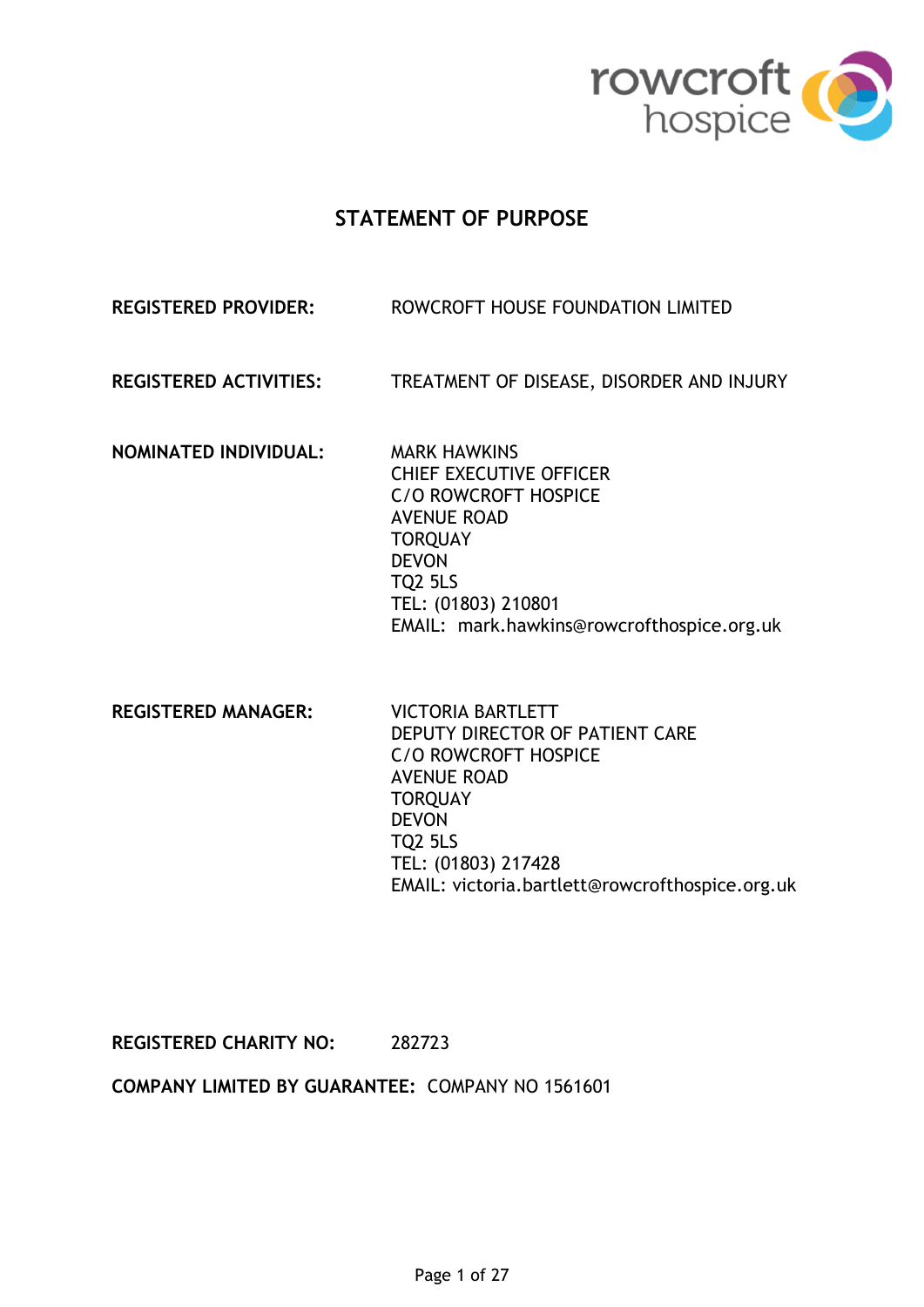

# **STATEMENT OF PURPOSE**

# **REGISTERED PROVIDER:** ROWCROFT HOUSE FOUNDATION LIMITED

**REGISTERED ACTIVITIES:** TREATMENT OF DISEASE, DISORDER AND INJURY

**NOMINATED INDIVIDUAL:** MARK HAWKINS

CHIEF EXECUTIVE OFFICER C/O ROWCROFT HOSPICE AVENUE ROAD **TOROUAY** DEVON TQ2 5LS TEL: (01803) 210801 EMAIL: mark.hawkins@rowcrofthospice.org.uk

**REGISTERED MANAGER:** VICTORIA BARTLETT

DEPUTY DIRECTOR OF PATIENT CARE C/O ROWCROFT HOSPICE AVENUE ROAD **TORQUAY** DEVON TQ2 5LS TEL: (01803) 217428 EMAIL: victoria.bartlett@rowcrofthospice.org.uk

**REGISTERED CHARITY NO:** 282723

**COMPANY LIMITED BY GUARANTEE:** COMPANY NO 1561601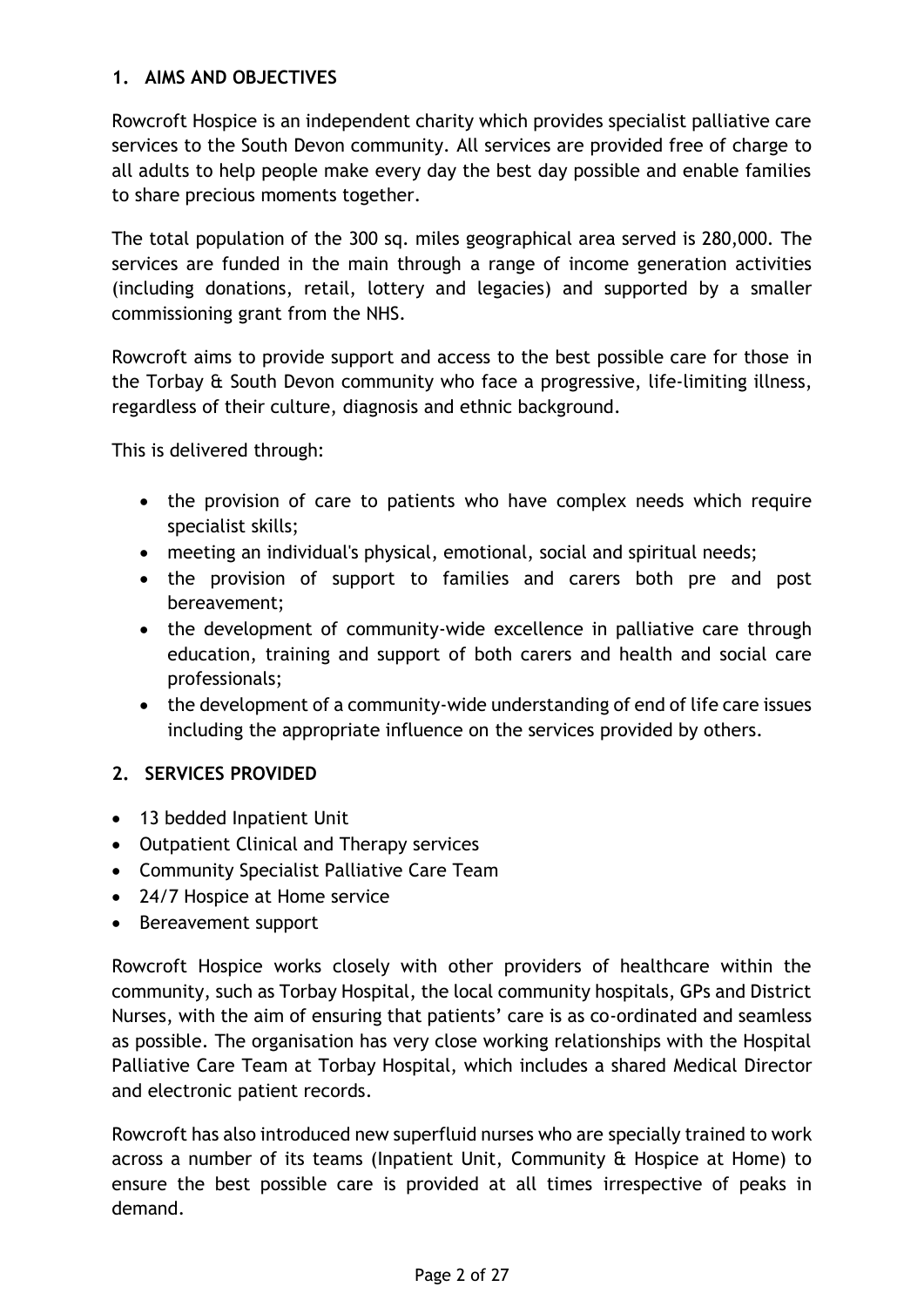# **1. AIMS AND OBJECTIVES**

Rowcroft Hospice is an independent charity which provides specialist palliative care services to the South Devon community. All services are provided free of charge to all adults to help people make every day the best day possible and enable families to share precious moments together.

The total population of the 300 sq. miles geographical area served is 280,000. The services are funded in the main through a range of income generation activities (including donations, retail, lottery and legacies) and supported by a smaller commissioning grant from the NHS.

Rowcroft aims to provide support and access to the best possible care for those in the Torbay & South Devon community who face a progressive, life-limiting illness, regardless of their culture, diagnosis and ethnic background.

This is delivered through:

- the provision of care to patients who have complex needs which require specialist skills;
- meeting an individual's physical, emotional, social and spiritual needs;
- the provision of support to families and carers both pre and post bereavement;
- the development of community-wide excellence in palliative care through education, training and support of both carers and health and social care professionals;
- the development of a community-wide understanding of end of life care issues including the appropriate influence on the services provided by others.

# **2. SERVICES PROVIDED**

- 13 bedded Inpatient Unit
- Outpatient Clinical and Therapy services
- Community Specialist Palliative Care Team
- 24/7 Hospice at Home service
- Bereavement support

Rowcroft Hospice works closely with other providers of healthcare within the community, such as Torbay Hospital, the local community hospitals, GPs and District Nurses, with the aim of ensuring that patients' care is as co-ordinated and seamless as possible. The organisation has very close working relationships with the Hospital Palliative Care Team at Torbay Hospital, which includes a shared Medical Director and electronic patient records.

Rowcroft has also introduced new superfluid nurses who are specially trained to work across a number of its teams (Inpatient Unit, Community & Hospice at Home) to ensure the best possible care is provided at all times irrespective of peaks in demand.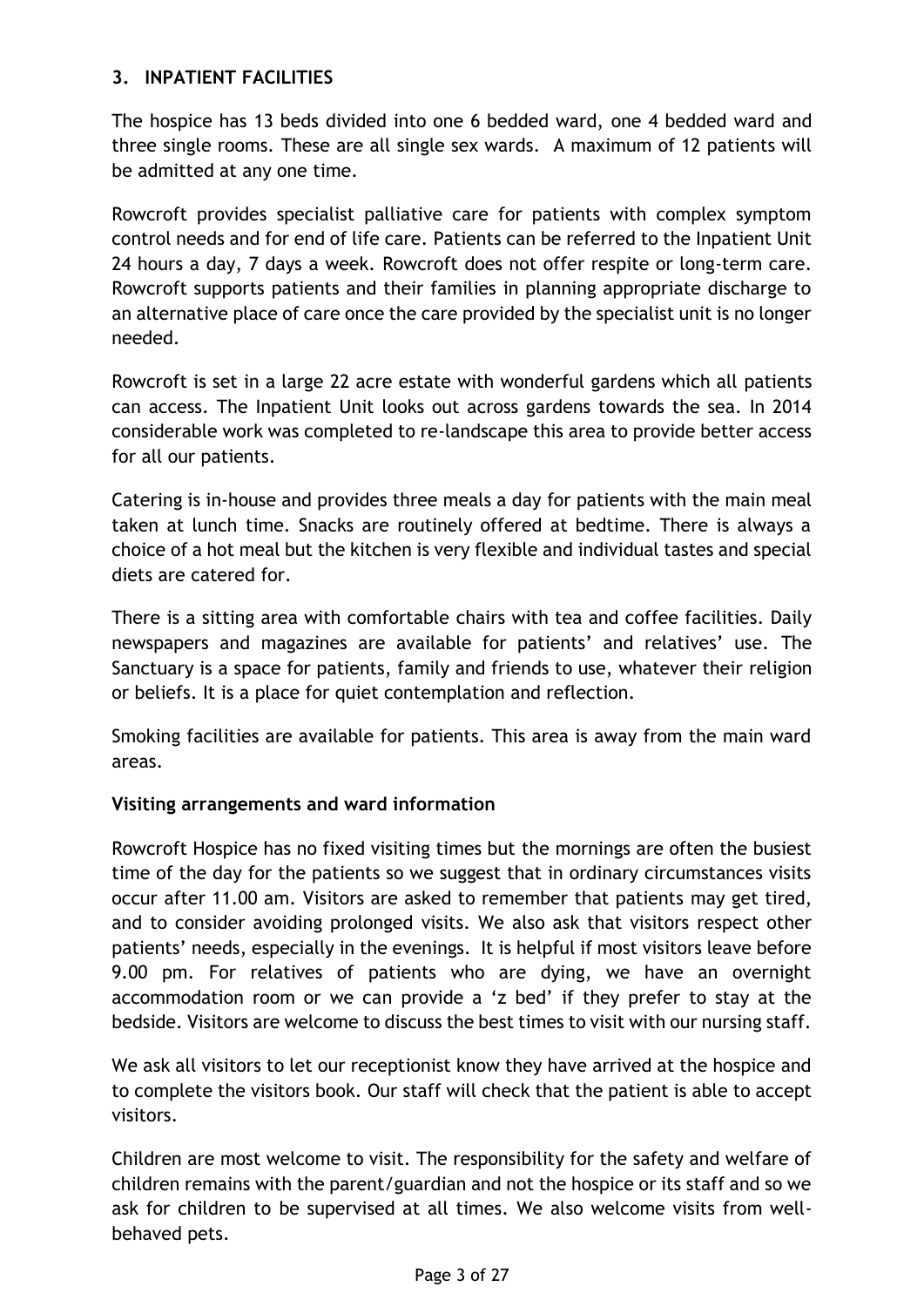# **3. INPATIENT FACILITIES**

The hospice has 13 beds divided into one 6 bedded ward, one 4 bedded ward and three single rooms. These are all single sex wards. A maximum of 12 patients will be admitted at any one time.

Rowcroft provides specialist palliative care for patients with complex symptom control needs and for end of life care. Patients can be referred to the Inpatient Unit 24 hours a day, 7 days a week. Rowcroft does not offer respite or long-term care. Rowcroft supports patients and their families in planning appropriate discharge to an alternative place of care once the care provided by the specialist unit is no longer needed.

Rowcroft is set in a large 22 acre estate with wonderful gardens which all patients can access. The Inpatient Unit looks out across gardens towards the sea. In 2014 considerable work was completed to re-landscape this area to provide better access for all our patients.

Catering is in-house and provides three meals a day for patients with the main meal taken at lunch time. Snacks are routinely offered at bedtime. There is always a choice of a hot meal but the kitchen is very flexible and individual tastes and special diets are catered for.

There is a sitting area with comfortable chairs with tea and coffee facilities. Daily newspapers and magazines are available for patients' and relatives' use. The Sanctuary is a space for patients, family and friends to use, whatever their religion or beliefs. It is a place for quiet contemplation and reflection.

Smoking facilities are available for patients. This area is away from the main ward areas.

# **Visiting arrangements and ward information**

Rowcroft Hospice has no fixed visiting times but the mornings are often the busiest time of the day for the patients so we suggest that in ordinary circumstances visits occur after 11.00 am. Visitors are asked to remember that patients may get tired, and to consider avoiding prolonged visits. We also ask that visitors respect other patients' needs, especially in the evenings. It is helpful if most visitors leave before 9.00 pm. For relatives of patients who are dying, we have an overnight accommodation room or we can provide a 'z bed' if they prefer to stay at the bedside. Visitors are welcome to discuss the best times to visit with our nursing staff.

We ask all visitors to let our receptionist know they have arrived at the hospice and to complete the visitors book. Our staff will check that the patient is able to accept visitors.

Children are most welcome to visit. The responsibility for the safety and welfare of children remains with the parent/guardian and not the hospice or its staff and so we ask for children to be supervised at all times. We also welcome visits from wellbehaved pets.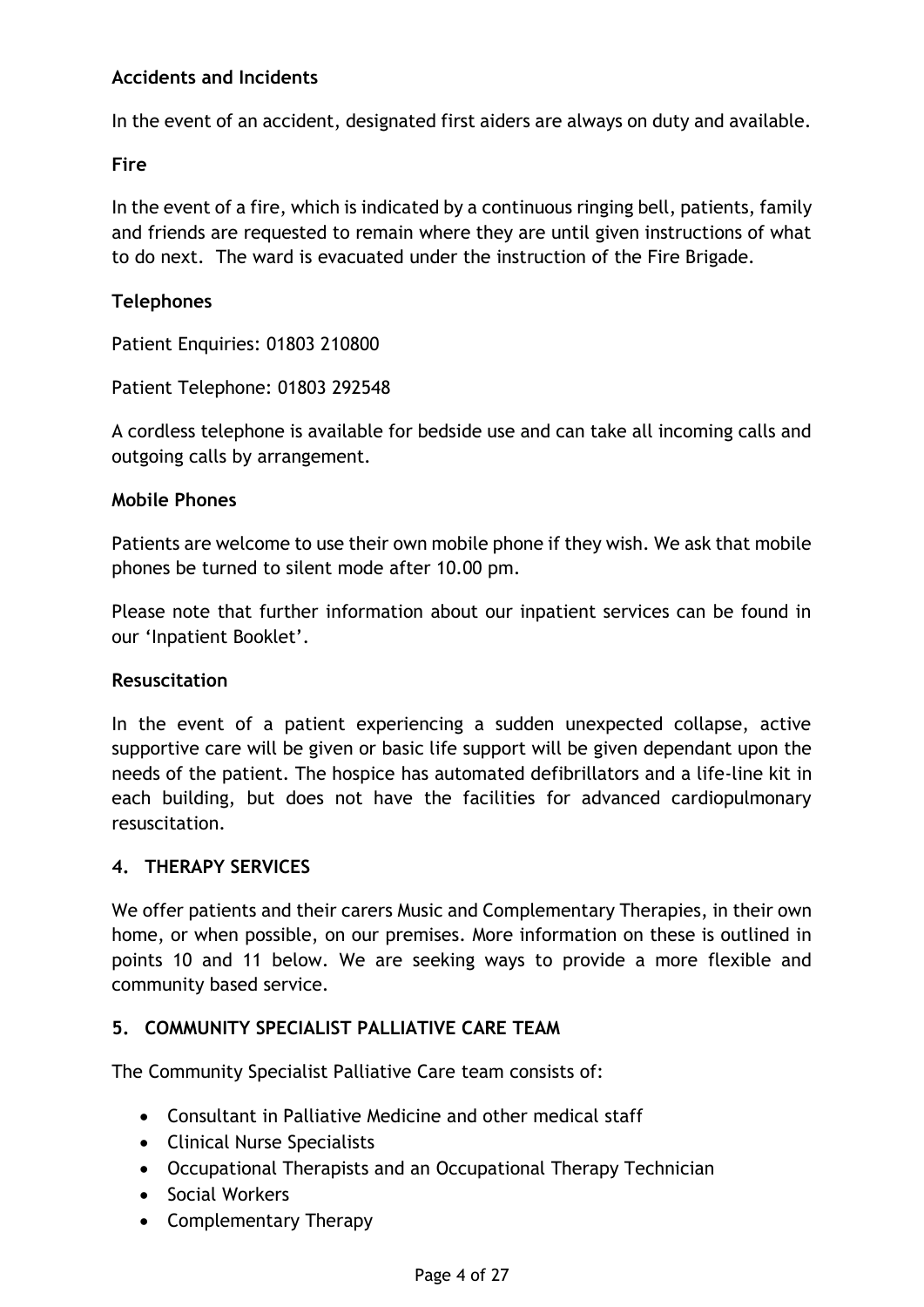# **Accidents and Incidents**

In the event of an accident, designated first aiders are always on duty and available.

# **Fire**

In the event of a fire, which is indicated by a continuous ringing bell, patients, family and friends are requested to remain where they are until given instructions of what to do next. The ward is evacuated under the instruction of the Fire Brigade.

# **Telephones**

Patient Enquiries: 01803 210800

Patient Telephone: 01803 292548

A cordless telephone is available for bedside use and can take all incoming calls and outgoing calls by arrangement.

# **Mobile Phones**

Patients are welcome to use their own mobile phone if they wish. We ask that mobile phones be turned to silent mode after 10.00 pm.

Please note that further information about our inpatient services can be found in our 'Inpatient Booklet'.

# **Resuscitation**

In the event of a patient experiencing a sudden unexpected collapse, active supportive care will be given or basic life support will be given dependant upon the needs of the patient. The hospice has automated defibrillators and a life-line kit in each building, but does not have the facilities for advanced cardiopulmonary resuscitation.

# **4. THERAPY SERVICES**

We offer patients and their carers Music and Complementary Therapies, in their own home, or when possible, on our premises. More information on these is outlined in points 10 and 11 below. We are seeking ways to provide a more flexible and community based service.

# **5. COMMUNITY SPECIALIST PALLIATIVE CARE TEAM**

The Community Specialist Palliative Care team consists of:

- Consultant in Palliative Medicine and other medical staff
- Clinical Nurse Specialists
- Occupational Therapists and an Occupational Therapy Technician
- Social Workers
- Complementary Therapy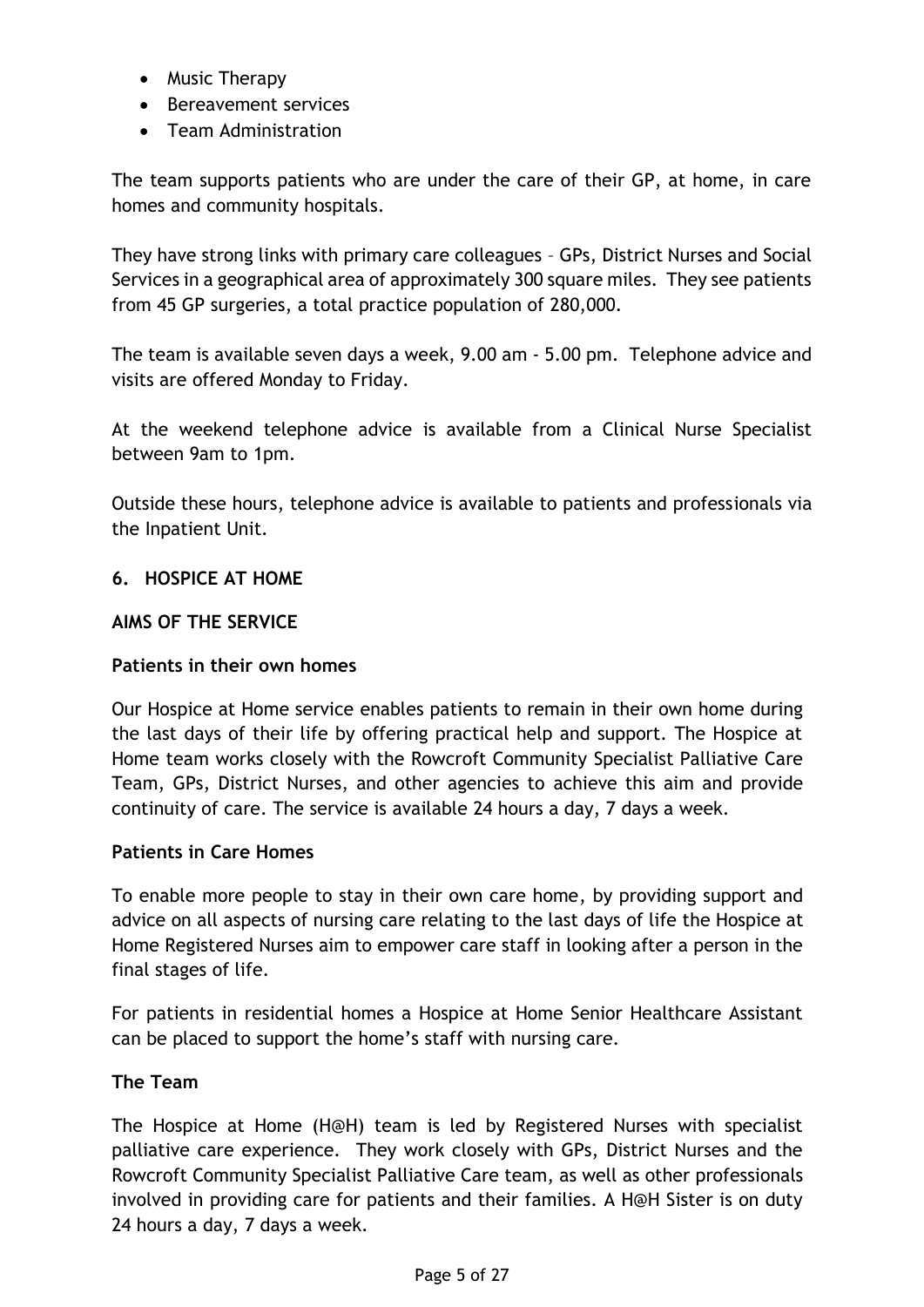- Music Therapy
- Bereavement services
- Team Administration

The team supports patients who are under the care of their GP, at home, in care homes and community hospitals.

They have strong links with primary care colleagues – GPs, District Nurses and Social Services in a geographical area of approximately 300 square miles. They see patients from 45 GP surgeries, a total practice population of 280,000.

The team is available seven days a week, 9.00 am - 5.00 pm. Telephone advice and visits are offered Monday to Friday.

At the weekend telephone advice is available from a Clinical Nurse Specialist between 9am to 1pm.

Outside these hours, telephone advice is available to patients and professionals via the Inpatient Unit.

# **6. HOSPICE AT HOME**

# **AIMS OF THE SERVICE**

# **Patients in their own homes**

Our Hospice at Home service enables patients to remain in their own home during the last days of their life by offering practical help and support. The Hospice at Home team works closely with the Rowcroft Community Specialist Palliative Care Team, GPs, District Nurses, and other agencies to achieve this aim and provide continuity of care. The service is available 24 hours a day, 7 days a week.

# **Patients in Care Homes**

To enable more people to stay in their own care home, by providing support and advice on all aspects of nursing care relating to the last days of life the Hospice at Home Registered Nurses aim to empower care staff in looking after a person in the final stages of life.

For patients in residential homes a Hospice at Home Senior Healthcare Assistant can be placed to support the home's staff with nursing care.

# **The Team**

The Hospice at Home (H@H) team is led by Registered Nurses with specialist palliative care experience. They work closely with GPs, District Nurses and the Rowcroft Community Specialist Palliative Care team, as well as other professionals involved in providing care for patients and their families. A H@H Sister is on duty 24 hours a day, 7 days a week.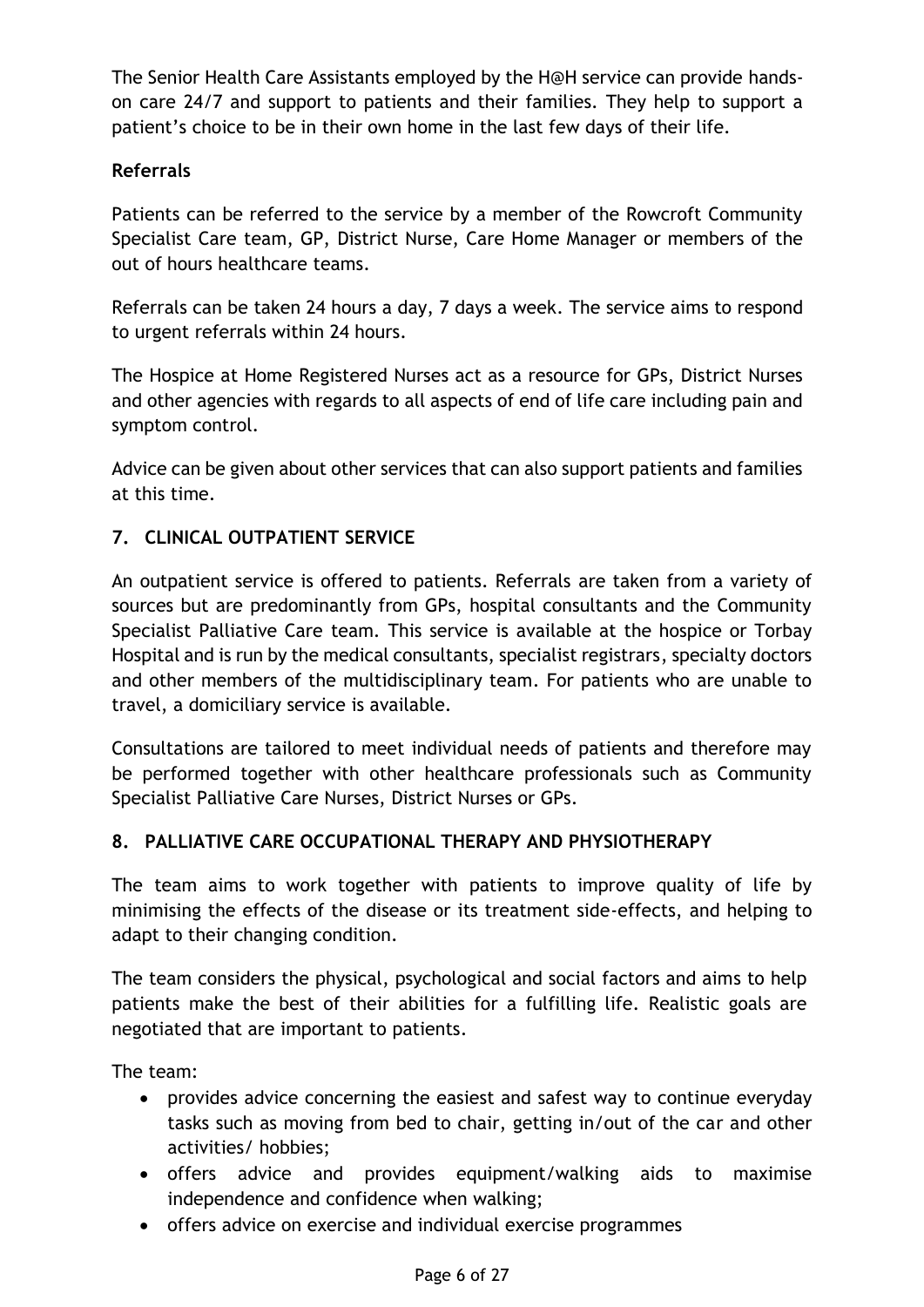The Senior Health Care Assistants employed by the H@H service can provide handson care 24/7 and support to patients and their families. They help to support a patient's choice to be in their own home in the last few days of their life.

# **Referrals**

Patients can be referred to the service by a member of the Rowcroft Community Specialist Care team, GP, District Nurse, Care Home Manager or members of the out of hours healthcare teams.

Referrals can be taken 24 hours a day, 7 days a week. The service aims to respond to urgent referrals within 24 hours.

The Hospice at Home Registered Nurses act as a resource for GPs, District Nurses and other agencies with regards to all aspects of end of life care including pain and symptom control.

Advice can be given about other services that can also support patients and families at this time.

# **7. CLINICAL OUTPATIENT SERVICE**

An outpatient service is offered to patients. Referrals are taken from a variety of sources but are predominantly from GPs, hospital consultants and the Community Specialist Palliative Care team. This service is available at the hospice or Torbay Hospital and is run by the medical consultants, specialist registrars, specialty doctors and other members of the multidisciplinary team. For patients who are unable to travel, a domiciliary service is available.

Consultations are tailored to meet individual needs of patients and therefore may be performed together with other healthcare professionals such as Community Specialist Palliative Care Nurses, District Nurses or GPs.

# **8. PALLIATIVE CARE OCCUPATIONAL THERAPY AND PHYSIOTHERAPY**

The team aims to work together with patients to improve quality of life by minimising the effects of the disease or its treatment side-effects, and helping to adapt to their changing condition.

The team considers the physical, psychological and social factors and aims to help patients make the best of their abilities for a fulfilling life. Realistic goals are negotiated that are important to patients.

The team:

- provides advice concerning the easiest and safest way to continue everyday tasks such as moving from bed to chair, getting in/out of the car and other activities/ hobbies;
- offers advice and provides equipment/walking aids to maximise independence and confidence when walking;
- offers advice on exercise and individual exercise programmes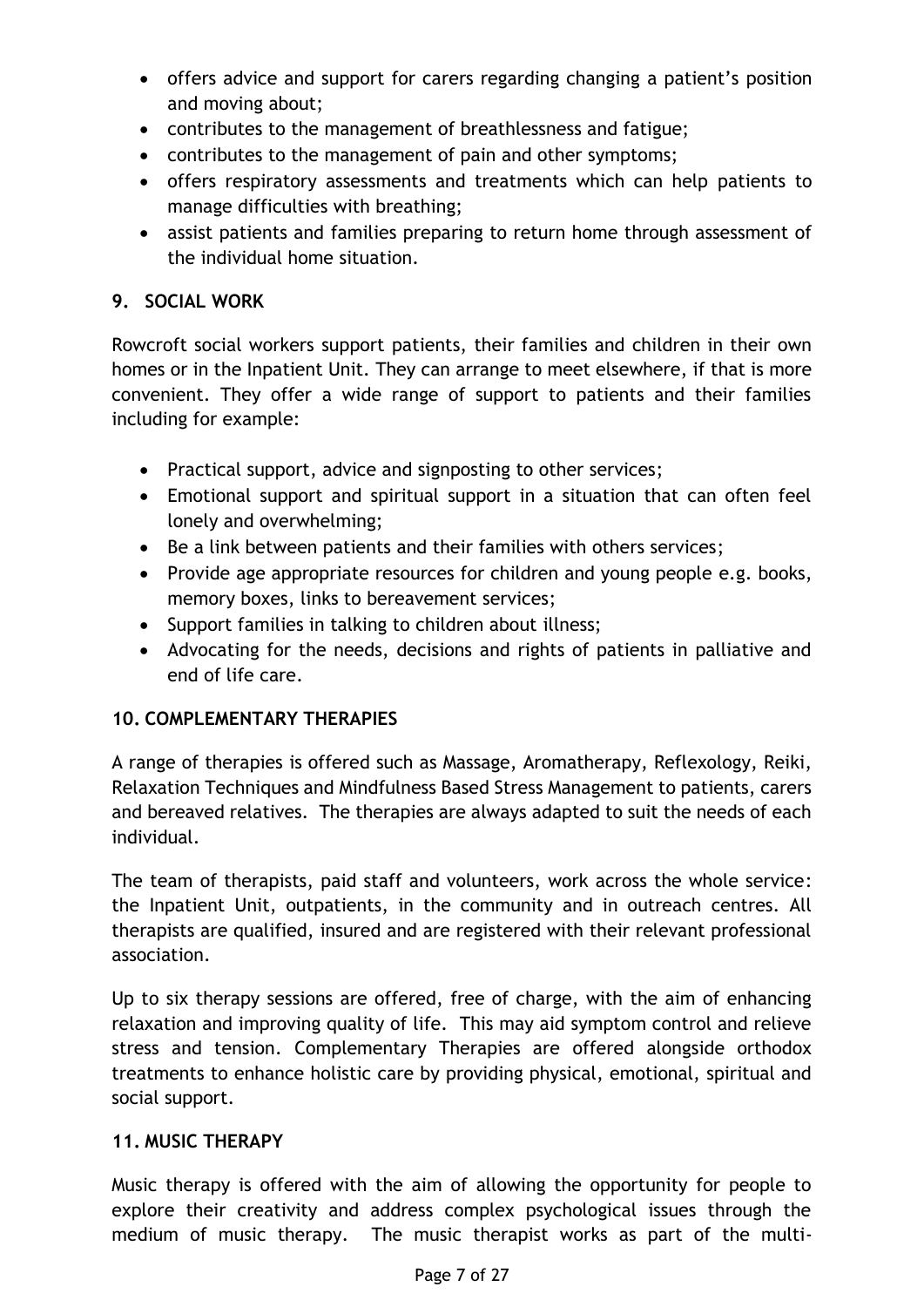- offers advice and support for carers regarding changing a patient's position and moving about;
- contributes to the management of breathlessness and fatigue;
- contributes to the management of pain and other symptoms;
- offers respiratory assessments and treatments which can help patients to manage difficulties with breathing;
- assist patients and families preparing to return home through assessment of the individual home situation.

# **9. SOCIAL WORK**

Rowcroft social workers support patients, their families and children in their own homes or in the Inpatient Unit. They can arrange to meet elsewhere, if that is more convenient. They offer a wide range of support to patients and their families including for example:

- Practical support, advice and signposting to other services;
- Emotional support and spiritual support in a situation that can often feel lonely and overwhelming;
- Be a link between patients and their families with others services;
- Provide age appropriate resources for children and young people e.g. books, memory boxes, links to bereavement services;
- Support families in talking to children about illness;
- Advocating for the needs, decisions and rights of patients in palliative and end of life care.

# **10. COMPLEMENTARY THERAPIES**

A range of therapies is offered such as Massage, Aromatherapy, Reflexology, Reiki, Relaxation Techniques and Mindfulness Based Stress Management to patients, carers and bereaved relatives. The therapies are always adapted to suit the needs of each individual.

The team of therapists, paid staff and volunteers, work across the whole service: the Inpatient Unit, outpatients, in the community and in outreach centres. All therapists are qualified, insured and are registered with their relevant professional association.

Up to six therapy sessions are offered, free of charge, with the aim of enhancing relaxation and improving quality of life. This may aid symptom control and relieve stress and tension. Complementary Therapies are offered alongside orthodox treatments to enhance holistic care by providing physical, emotional, spiritual and social support.

# **11. MUSIC THERAPY**

Music therapy is offered with the aim of allowing the opportunity for people to explore their creativity and address complex psychological issues through the medium of music therapy. The music therapist works as part of the multi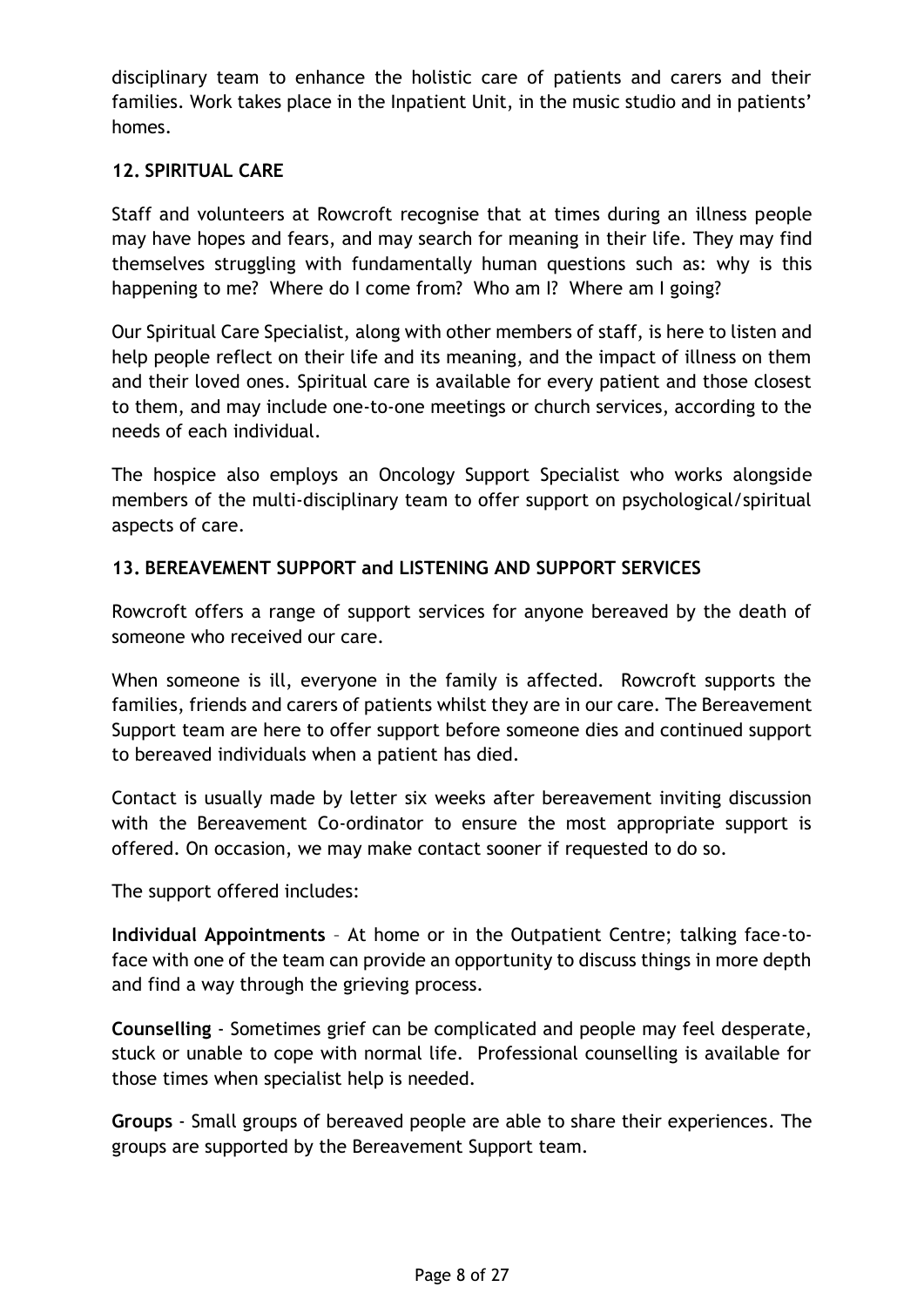disciplinary team to enhance the holistic care of patients and carers and their families. Work takes place in the Inpatient Unit, in the music studio and in patients' homes.

# **12. SPIRITUAL CARE**

Staff and volunteers at Rowcroft recognise that at times during an illness people may have hopes and fears, and may search for meaning in their life. They may find themselves struggling with fundamentally human questions such as: why is this happening to me? Where do I come from? Who am I? Where am I going?

Our Spiritual Care Specialist, along with other members of staff, is here to listen and help people reflect on their life and its meaning, and the impact of illness on them and their loved ones. Spiritual care is available for every patient and those closest to them, and may include one-to-one meetings or church services, according to the needs of each individual.

The hospice also employs an Oncology Support Specialist who works alongside members of the multi-disciplinary team to offer support on psychological/spiritual aspects of care.

# **13. BEREAVEMENT SUPPORT and LISTENING AND SUPPORT SERVICES**

Rowcroft offers a range of support services for anyone bereaved by the death of someone who received our care.

When someone is ill, everyone in the family is affected. Rowcroft supports the families, friends and carers of patients whilst they are in our care. The Bereavement Support team are here to offer support before someone dies and continued support to bereaved individuals when a patient has died.

Contact is usually made by letter six weeks after bereavement inviting discussion with the Bereavement Co-ordinator to ensure the most appropriate support is offered. On occasion, we may make contact sooner if requested to do so.

The support offered includes:

**Individual Appointments** – At home or in the Outpatient Centre; talking face-toface with one of the team can provide an opportunity to discuss things in more depth and find a way through the grieving process.

**Counselling** - Sometimes grief can be complicated and people may feel desperate, stuck or unable to cope with normal life. Professional counselling is available for those times when specialist help is needed.

**Groups** - Small groups of bereaved people are able to share their experiences. The groups are supported by the Bereavement Support team.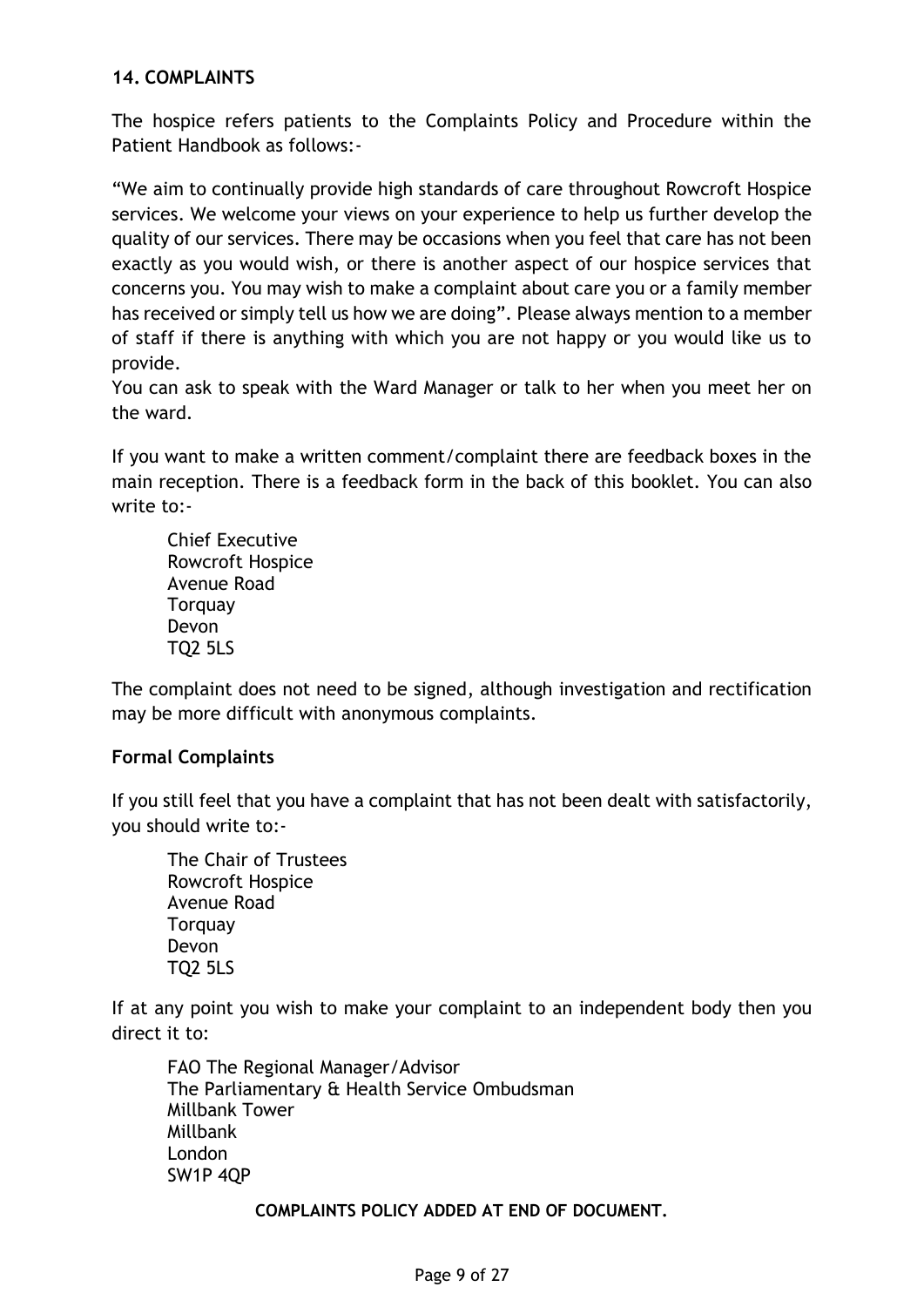## **14. COMPLAINTS**

The hospice refers patients to the Complaints Policy and Procedure within the Patient Handbook as follows:-

"We aim to continually provide high standards of care throughout Rowcroft Hospice services. We welcome your views on your experience to help us further develop the quality of our services. There may be occasions when you feel that care has not been exactly as you would wish, or there is another aspect of our hospice services that concerns you. You may wish to make a complaint about care you or a family member has received or simply tell us how we are doing". Please always mention to a member of staff if there is anything with which you are not happy or you would like us to provide.

You can ask to speak with the Ward Manager or talk to her when you meet her on the ward.

If you want to make a written comment/complaint there are feedback boxes in the main reception. There is a feedback form in the back of this booklet. You can also write to:-

Chief Executive Rowcroft Hospice Avenue Road **Torquay** Devon TQ2 5LS

The complaint does not need to be signed, although investigation and rectification may be more difficult with anonymous complaints.

## **Formal Complaints**

If you still feel that you have a complaint that has not been dealt with satisfactorily, you should write to:-

The Chair of Trustees Rowcroft Hospice Avenue Road **Torquay** Devon TQ2 5LS

If at any point you wish to make your complaint to an independent body then you direct it to:

FAO The Regional Manager/Advisor The Parliamentary & Health Service Ombudsman Millbank Tower Millbank London SW1P 4QP

**COMPLAINTS POLICY ADDED AT END OF DOCUMENT.**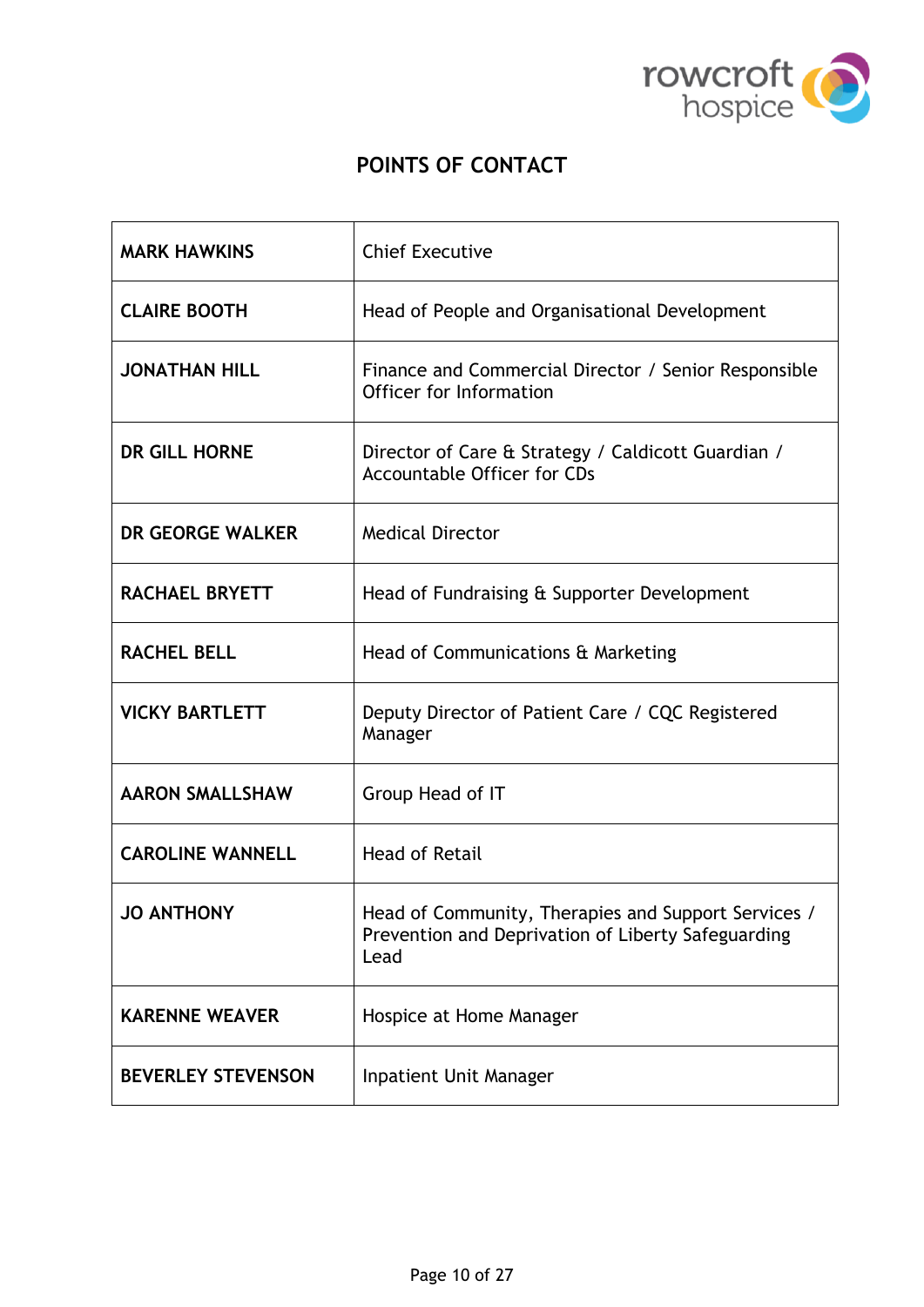

# **POINTS OF CONTACT**

| <b>MARK HAWKINS</b>       | <b>Chief Executive</b>                                                                                            |
|---------------------------|-------------------------------------------------------------------------------------------------------------------|
| <b>CLAIRE BOOTH</b>       | Head of People and Organisational Development                                                                     |
| <b>JONATHAN HILL</b>      | Finance and Commercial Director / Senior Responsible<br>Officer for Information                                   |
| <b>DR GILL HORNE</b>      | Director of Care & Strategy / Caldicott Guardian /<br><b>Accountable Officer for CDs</b>                          |
| DR GEORGE WALKER          | <b>Medical Director</b>                                                                                           |
| <b>RACHAEL BRYETT</b>     | Head of Fundraising & Supporter Development                                                                       |
| <b>RACHEL BELL</b>        | Head of Communications & Marketing                                                                                |
| <b>VICKY BARTLETT</b>     | Deputy Director of Patient Care / CQC Registered<br>Manager                                                       |
| <b>AARON SMALLSHAW</b>    | Group Head of IT                                                                                                  |
| <b>CAROLINE WANNELL</b>   | <b>Head of Retail</b>                                                                                             |
| <b>JO ANTHONY</b>         | Head of Community, Therapies and Support Services /<br>Prevention and Deprivation of Liberty Safeguarding<br>Lead |
| <b>KARENNE WEAVER</b>     | Hospice at Home Manager                                                                                           |
| <b>BEVERLEY STEVENSON</b> | <b>Inpatient Unit Manager</b>                                                                                     |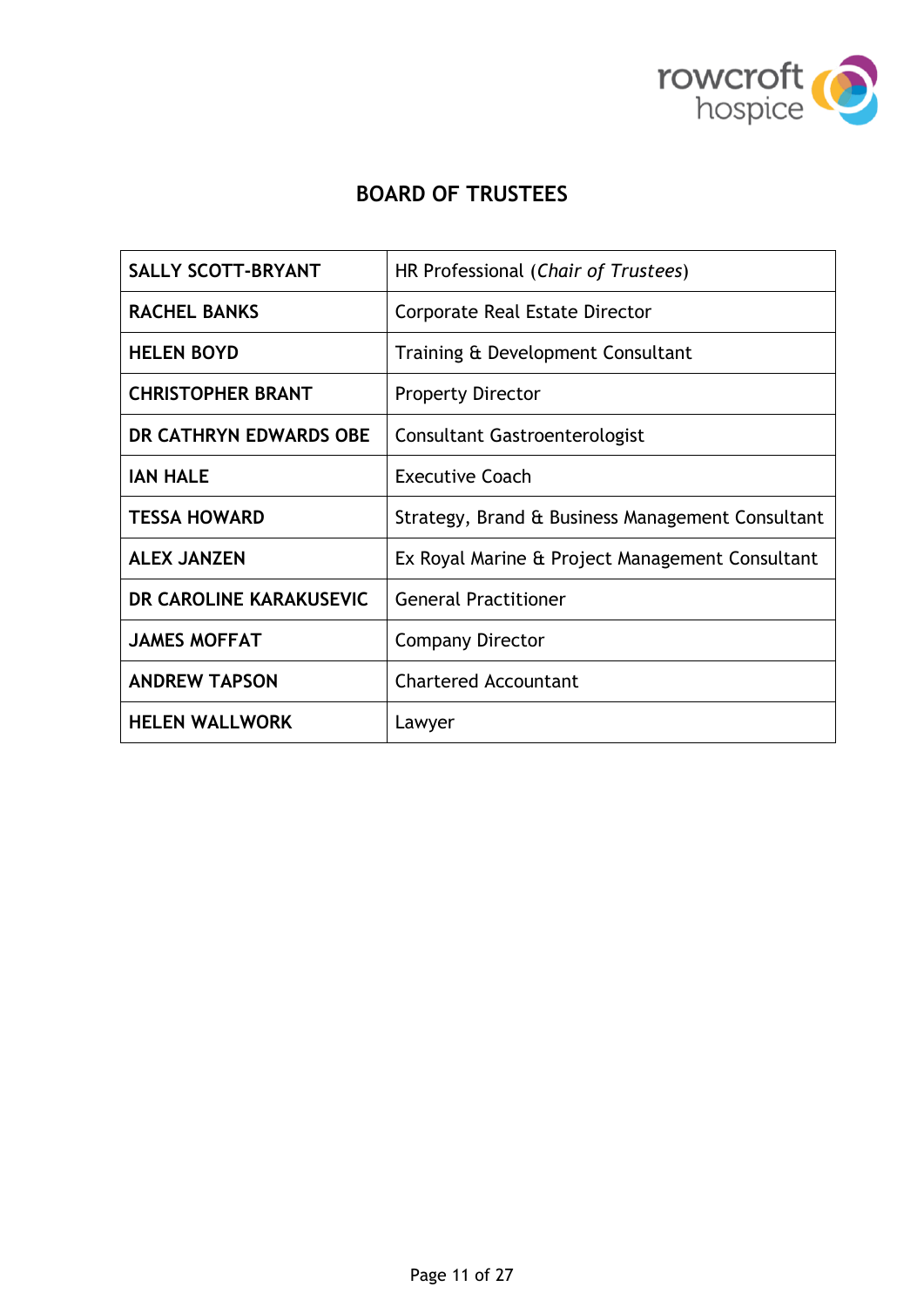

# **BOARD OF TRUSTEES**

| <b>SALLY SCOTT-BRYANT</b> | HR Professional (Chair of Trustees)              |
|---------------------------|--------------------------------------------------|
| <b>RACHEL BANKS</b>       | Corporate Real Estate Director                   |
| <b>HELEN BOYD</b>         | Training & Development Consultant                |
| <b>CHRISTOPHER BRANT</b>  | <b>Property Director</b>                         |
| DR CATHRYN EDWARDS OBE    | <b>Consultant Gastroenterologist</b>             |
| <b>IAN HALE</b>           | <b>Executive Coach</b>                           |
| <b>TESSA HOWARD</b>       | Strategy, Brand & Business Management Consultant |
| <b>ALEX JANZEN</b>        | Ex Royal Marine & Project Management Consultant  |
| DR CAROLINE KARAKUSEVIC   | <b>General Practitioner</b>                      |
| <b>JAMES MOFFAT</b>       | <b>Company Director</b>                          |
| <b>ANDREW TAPSON</b>      | <b>Chartered Accountant</b>                      |
| <b>HELEN WALLWORK</b>     | Lawyer                                           |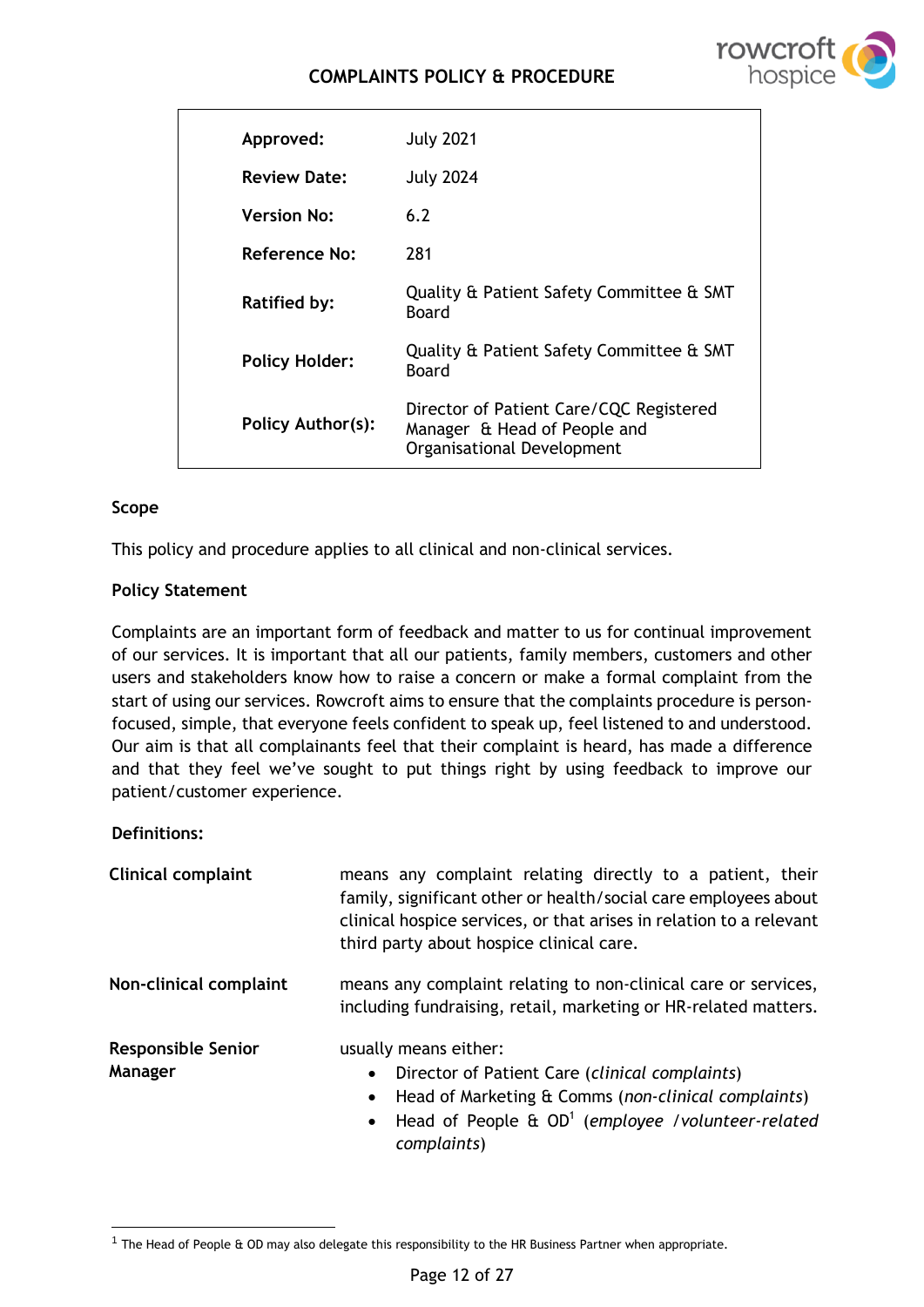# **COMPLAINTS POLICY & PROCEDURE**



| Approved:             | <b>July 2021</b>                                                                                      |
|-----------------------|-------------------------------------------------------------------------------------------------------|
| <b>Review Date:</b>   | <b>July 2024</b>                                                                                      |
| <b>Version No:</b>    | 6.2                                                                                                   |
| Reference No:         | 281                                                                                                   |
| <b>Ratified by:</b>   | Quality & Patient Safety Committee & SMT<br>Board                                                     |
| <b>Policy Holder:</b> | Quality & Patient Safety Committee & SMT<br>Board                                                     |
| Policy Author(s):     | Director of Patient Care/CQC Registered<br>Manager & Head of People and<br>Organisational Development |

### **Scope**

This policy and procedure applies to all clinical and non-clinical services.

### **Policy Statement**

Complaints are an important form of feedback and matter to us for continual improvement of our services. It is important that all our patients, family members, customers and other users and stakeholders know how to raise a concern or make a formal complaint from the start of using our services. Rowcroft aims to ensure that the complaints procedure is personfocused, simple, that everyone feels confident to speak up, feel listened to and understood. Our aim is that all complainants feel that their complaint is heard, has made a difference and that they feel we've sought to put things right by using feedback to improve our patient/customer experience.

#### **Definitions:**

| <b>Clinical complaint</b>            | means any complaint relating directly to a patient, their<br>family, significant other or health/social care employees about<br>clinical hospice services, or that arises in relation to a relevant<br>third party about hospice clinical care.  |
|--------------------------------------|--------------------------------------------------------------------------------------------------------------------------------------------------------------------------------------------------------------------------------------------------|
| Non-clinical complaint               | means any complaint relating to non-clinical care or services,<br>including fundraising, retail, marketing or HR-related matters.                                                                                                                |
| <b>Responsible Senior</b><br>Manager | usually means either:<br>Director of Patient Care (clinical complaints)<br>Head of Marketing & Comms (non-clinical complaints)<br>$\bullet$<br>Head of People $\hat{a}$ OD <sup>1</sup> (employee /volunteer-related<br>$\bullet$<br>complaints) |

<sup>1</sup> The Head of People & OD may also delegate this responsibility to the HR Business Partner when appropriate.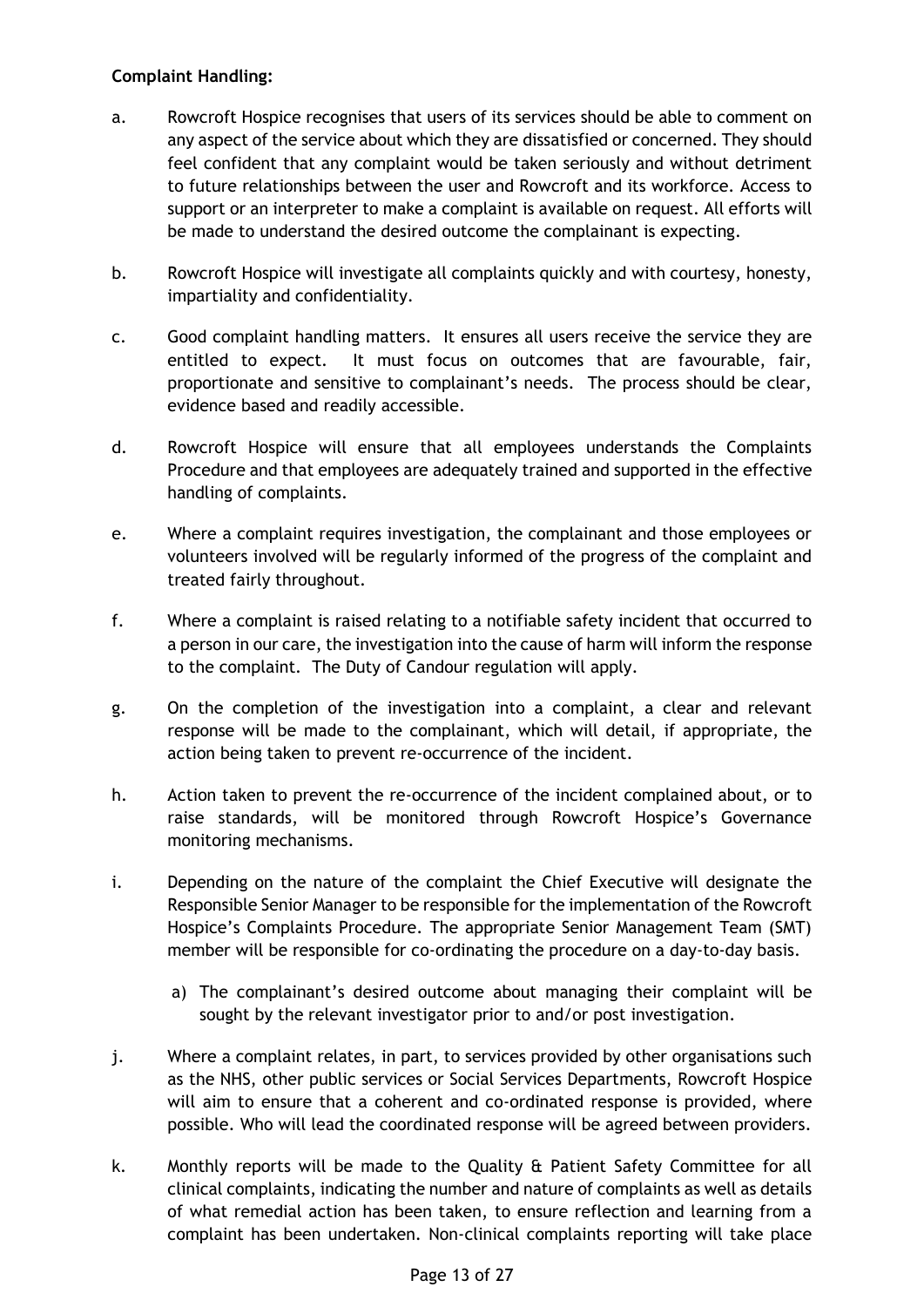## **Complaint Handling:**

- a. Rowcroft Hospice recognises that users of its services should be able to comment on any aspect of the service about which they are dissatisfied or concerned. They should feel confident that any complaint would be taken seriously and without detriment to future relationships between the user and Rowcroft and its workforce. Access to support or an interpreter to make a complaint is available on request. All efforts will be made to understand the desired outcome the complainant is expecting.
- b. Rowcroft Hospice will investigate all complaints quickly and with courtesy, honesty, impartiality and confidentiality.
- c. Good complaint handling matters. It ensures all users receive the service they are entitled to expect. It must focus on outcomes that are favourable, fair, proportionate and sensitive to complainant's needs. The process should be clear, evidence based and readily accessible.
- d. Rowcroft Hospice will ensure that all employees understands the Complaints Procedure and that employees are adequately trained and supported in the effective handling of complaints.
- e. Where a complaint requires investigation, the complainant and those employees or volunteers involved will be regularly informed of the progress of the complaint and treated fairly throughout.
- f. Where a complaint is raised relating to a notifiable safety incident that occurred to a person in our care, the investigation into the cause of harm will inform the response to the complaint. The Duty of Candour regulation will apply.
- g. On the completion of the investigation into a complaint, a clear and relevant response will be made to the complainant, which will detail, if appropriate, the action being taken to prevent re-occurrence of the incident.
- h. Action taken to prevent the re-occurrence of the incident complained about, or to raise standards, will be monitored through Rowcroft Hospice's Governance monitoring mechanisms.
- i. Depending on the nature of the complaint the Chief Executive will designate the Responsible Senior Manager to be responsible for the implementation of the Rowcroft Hospice's Complaints Procedure. The appropriate Senior Management Team (SMT) member will be responsible for co-ordinating the procedure on a day-to-day basis.
	- a) The complainant's desired outcome about managing their complaint will be sought by the relevant investigator prior to and/or post investigation.
- j. Where a complaint relates, in part, to services provided by other organisations such as the NHS, other public services or Social Services Departments, Rowcroft Hospice will aim to ensure that a coherent and co-ordinated response is provided, where possible. Who will lead the coordinated response will be agreed between providers.
- k. Monthly reports will be made to the Quality & Patient Safety Committee for all clinical complaints, indicating the number and nature of complaints as well as details of what remedial action has been taken, to ensure reflection and learning from a complaint has been undertaken. Non-clinical complaints reporting will take place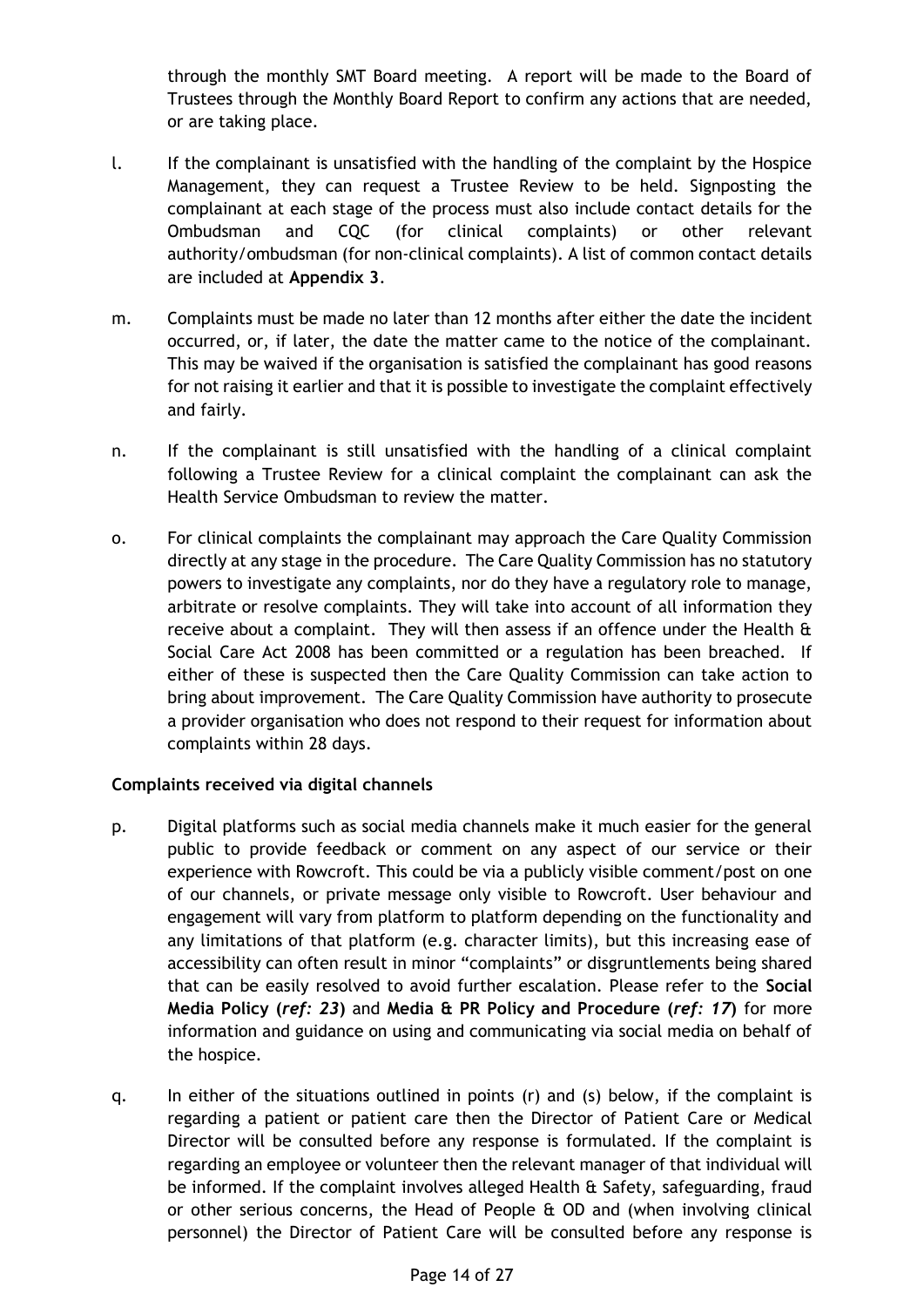through the monthly SMT Board meeting. A report will be made to the Board of Trustees through the Monthly Board Report to confirm any actions that are needed, or are taking place.

- l. If the complainant is unsatisfied with the handling of the complaint by the Hospice Management, they can request a Trustee Review to be held. Signposting the complainant at each stage of the process must also include contact details for the Ombudsman and CQC (for clinical complaints) or other relevant authority/ombudsman (for non-clinical complaints). A list of common contact details are included at **Appendix 3**.
- m. Complaints must be made no later than 12 months after either the date the incident occurred, or, if later, the date the matter came to the notice of the complainant. This may be waived if the organisation is satisfied the complainant has good reasons for not raising it earlier and that it is possible to investigate the complaint effectively and fairly.
- n. If the complainant is still unsatisfied with the handling of a clinical complaint following a Trustee Review for a clinical complaint the complainant can ask the Health Service Ombudsman to review the matter.
- o. For clinical complaints the complainant may approach the Care Quality Commission directly at any stage in the procedure. The Care Quality Commission has no statutory powers to investigate any complaints, nor do they have a regulatory role to manage, arbitrate or resolve complaints. They will take into account of all information they receive about a complaint. They will then assess if an offence under the Health & Social Care Act 2008 has been committed or a regulation has been breached. If either of these is suspected then the Care Quality Commission can take action to bring about improvement. The Care Quality Commission have authority to prosecute a provider organisation who does not respond to their request for information about complaints within 28 days.

## **Complaints received via digital channels**

- p. Digital platforms such as social media channels make it much easier for the general public to provide feedback or comment on any aspect of our service or their experience with Rowcroft. This could be via a publicly visible comment/post on one of our channels, or private message only visible to Rowcroft. User behaviour and engagement will vary from platform to platform depending on the functionality and any limitations of that platform (e.g. character limits), but this increasing ease of accessibility can often result in minor "complaints" or disgruntlements being shared that can be easily resolved to avoid further escalation. Please refer to the **Social Media Policy (***ref: 23***)** and **Media & PR Policy and Procedure (***ref: 17***)** for more information and guidance on using and communicating via social media on behalf of the hospice.
- q. In either of the situations outlined in points (r) and (s) below, if the complaint is regarding a patient or patient care then the Director of Patient Care or Medical Director will be consulted before any response is formulated. If the complaint is regarding an employee or volunteer then the relevant manager of that individual will be informed. If the complaint involves alleged Health & Safety, safeguarding, fraud or other serious concerns, the Head of People & OD and (when involving clinical personnel) the Director of Patient Care will be consulted before any response is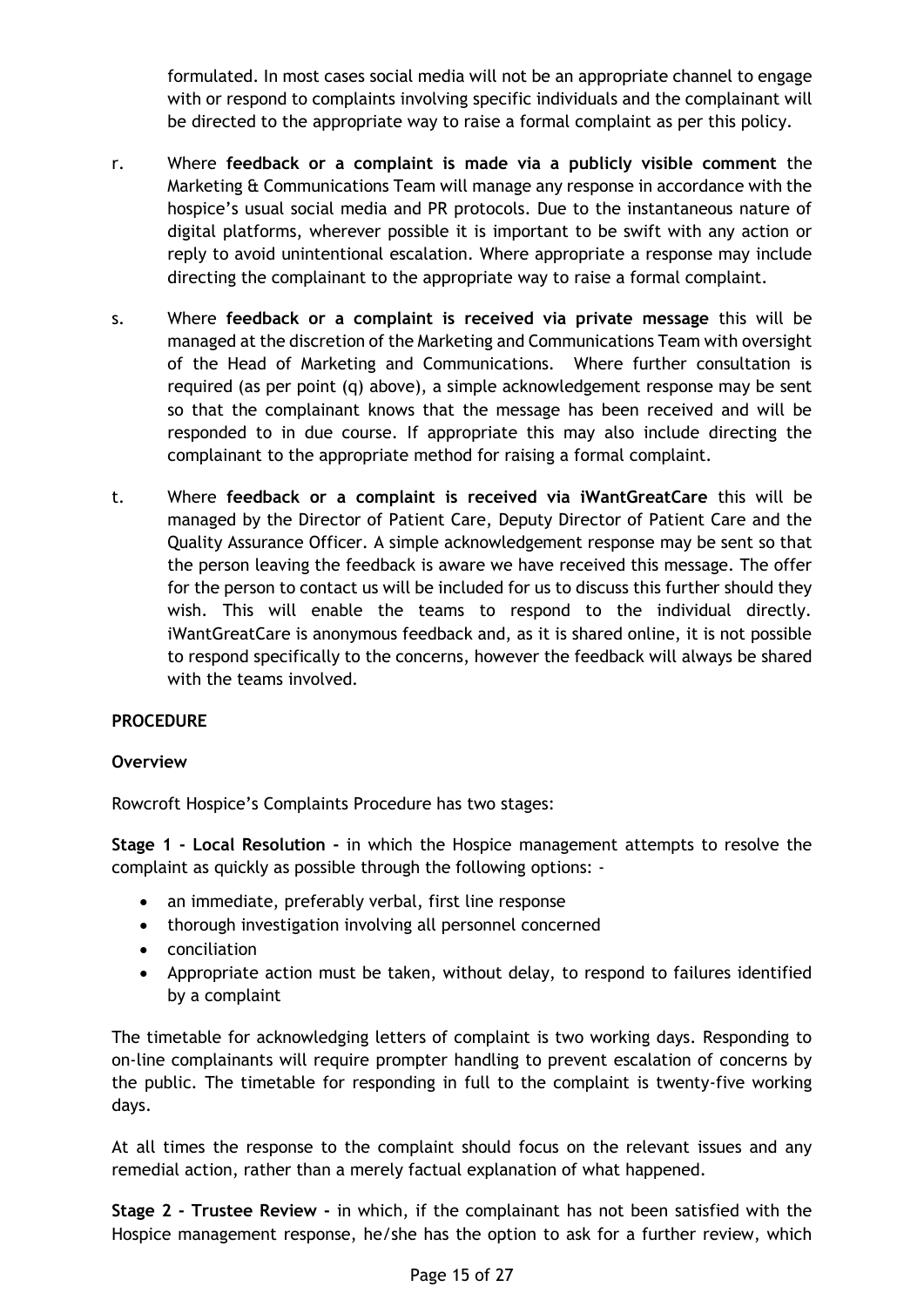formulated. In most cases social media will not be an appropriate channel to engage with or respond to complaints involving specific individuals and the complainant will be directed to the appropriate way to raise a formal complaint as per this policy.

- r. Where **feedback or a complaint is made via a publicly visible comment** the Marketing & Communications Team will manage any response in accordance with the hospice's usual social media and PR protocols. Due to the instantaneous nature of digital platforms, wherever possible it is important to be swift with any action or reply to avoid unintentional escalation. Where appropriate a response may include directing the complainant to the appropriate way to raise a formal complaint.
- s. Where **feedback or a complaint is received via private message** this will be managed at the discretion of the Marketing and Communications Team with oversight of the Head of Marketing and Communications. Where further consultation is required (as per point (q) above), a simple acknowledgement response may be sent so that the complainant knows that the message has been received and will be responded to in due course. If appropriate this may also include directing the complainant to the appropriate method for raising a formal complaint.
- t. Where **feedback or a complaint is received via iWantGreatCare** this will be managed by the Director of Patient Care, Deputy Director of Patient Care and the Quality Assurance Officer. A simple acknowledgement response may be sent so that the person leaving the feedback is aware we have received this message. The offer for the person to contact us will be included for us to discuss this further should they wish. This will enable the teams to respond to the individual directly. iWantGreatCare is anonymous feedback and, as it is shared online, it is not possible to respond specifically to the concerns, however the feedback will always be shared with the teams involved.

## **PROCEDURE**

## **Overview**

Rowcroft Hospice's Complaints Procedure has two stages:

**Stage 1 - Local Resolution -** in which the Hospice management attempts to resolve the complaint as quickly as possible through the following options: -

- an immediate, preferably verbal, first line response
- thorough investigation involving all personnel concerned
- conciliation
- Appropriate action must be taken, without delay, to respond to failures identified by a complaint

The timetable for acknowledging letters of complaint is two working days. Responding to on-line complainants will require prompter handling to prevent escalation of concerns by the public. The timetable for responding in full to the complaint is twenty-five working days.

At all times the response to the complaint should focus on the relevant issues and any remedial action, rather than a merely factual explanation of what happened.

**Stage 2 - Trustee Review -** in which, if the complainant has not been satisfied with the Hospice management response, he/she has the option to ask for a further review, which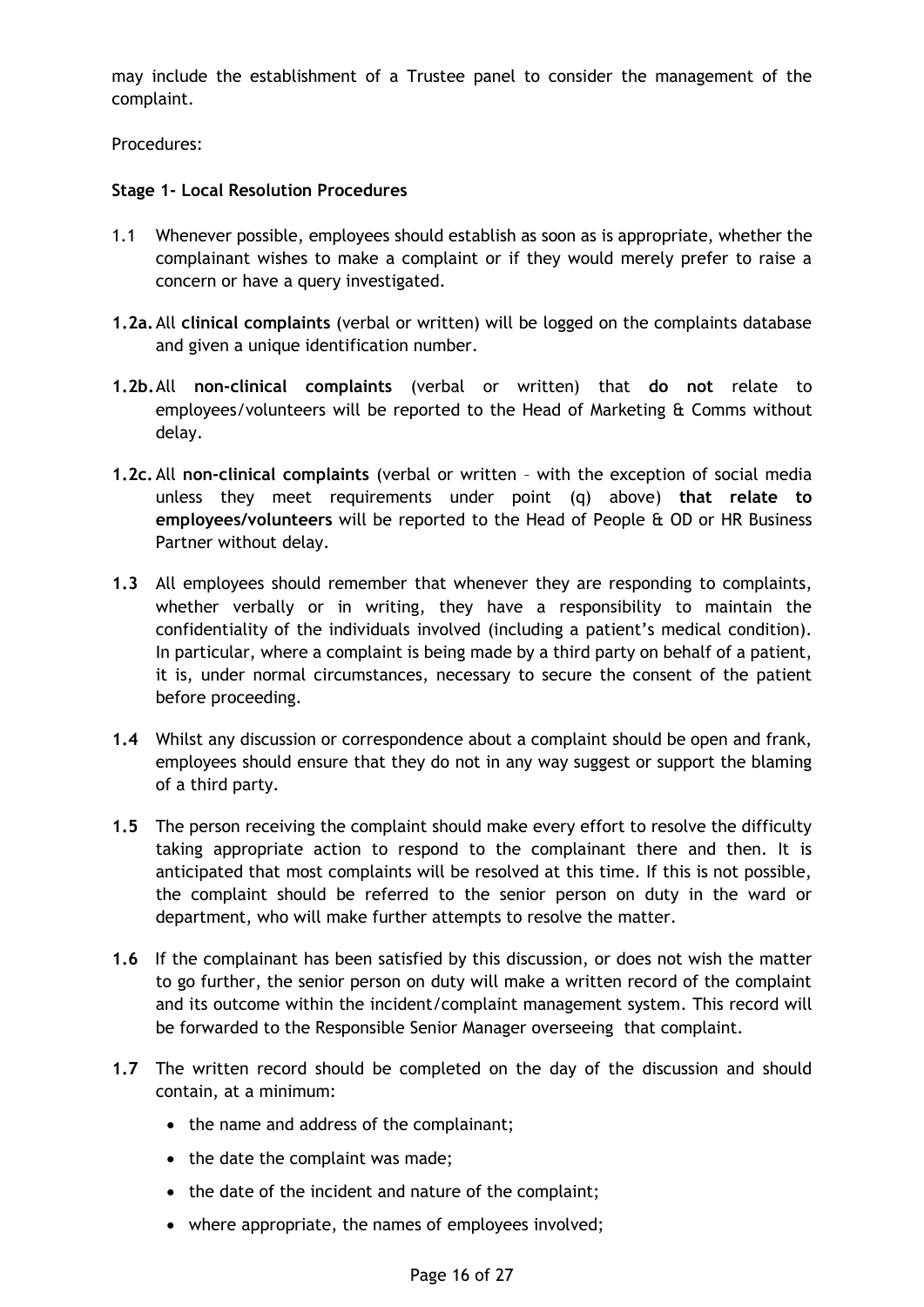may include the establishment of a Trustee panel to consider the management of the complaint.

Procedures:

#### **Stage 1- Local Resolution Procedures**

- 1.1 Whenever possible, employees should establish as soon as is appropriate, whether the complainant wishes to make a complaint or if they would merely prefer to raise a concern or have a query investigated.
- **1.2a.**All **clinical complaints** (verbal or written) will be logged on the complaints database and given a unique identification number.
- **1.2b.**All **non-clinical complaints** (verbal or written) that **do not** relate to employees/volunteers will be reported to the Head of Marketing & Comms without delay.
- **1.2c.**All **non-clinical complaints** (verbal or written with the exception of social media unless they meet requirements under point (q) above) **that relate to employees/volunteers** will be reported to the Head of People & OD or HR Business Partner without delay.
- **1.3** All employees should remember that whenever they are responding to complaints, whether verbally or in writing, they have a responsibility to maintain the confidentiality of the individuals involved (including a patient's medical condition). In particular, where a complaint is being made by a third party on behalf of a patient, it is, under normal circumstances, necessary to secure the consent of the patient before proceeding.
- **1.4** Whilst any discussion or correspondence about a complaint should be open and frank, employees should ensure that they do not in any way suggest or support the blaming of a third party.
- **1.5** The person receiving the complaint should make every effort to resolve the difficulty taking appropriate action to respond to the complainant there and then. It is anticipated that most complaints will be resolved at this time. If this is not possible, the complaint should be referred to the senior person on duty in the ward or department, who will make further attempts to resolve the matter.
- **1.6** If the complainant has been satisfied by this discussion, or does not wish the matter to go further, the senior person on duty will make a written record of the complaint and its outcome within the incident/complaint management system. This record will be forwarded to the Responsible Senior Manager overseeing that complaint.
- **1.7** The written record should be completed on the day of the discussion and should contain, at a minimum:
	- the name and address of the complainant;
	- the date the complaint was made;
	- the date of the incident and nature of the complaint;
	- where appropriate, the names of employees involved;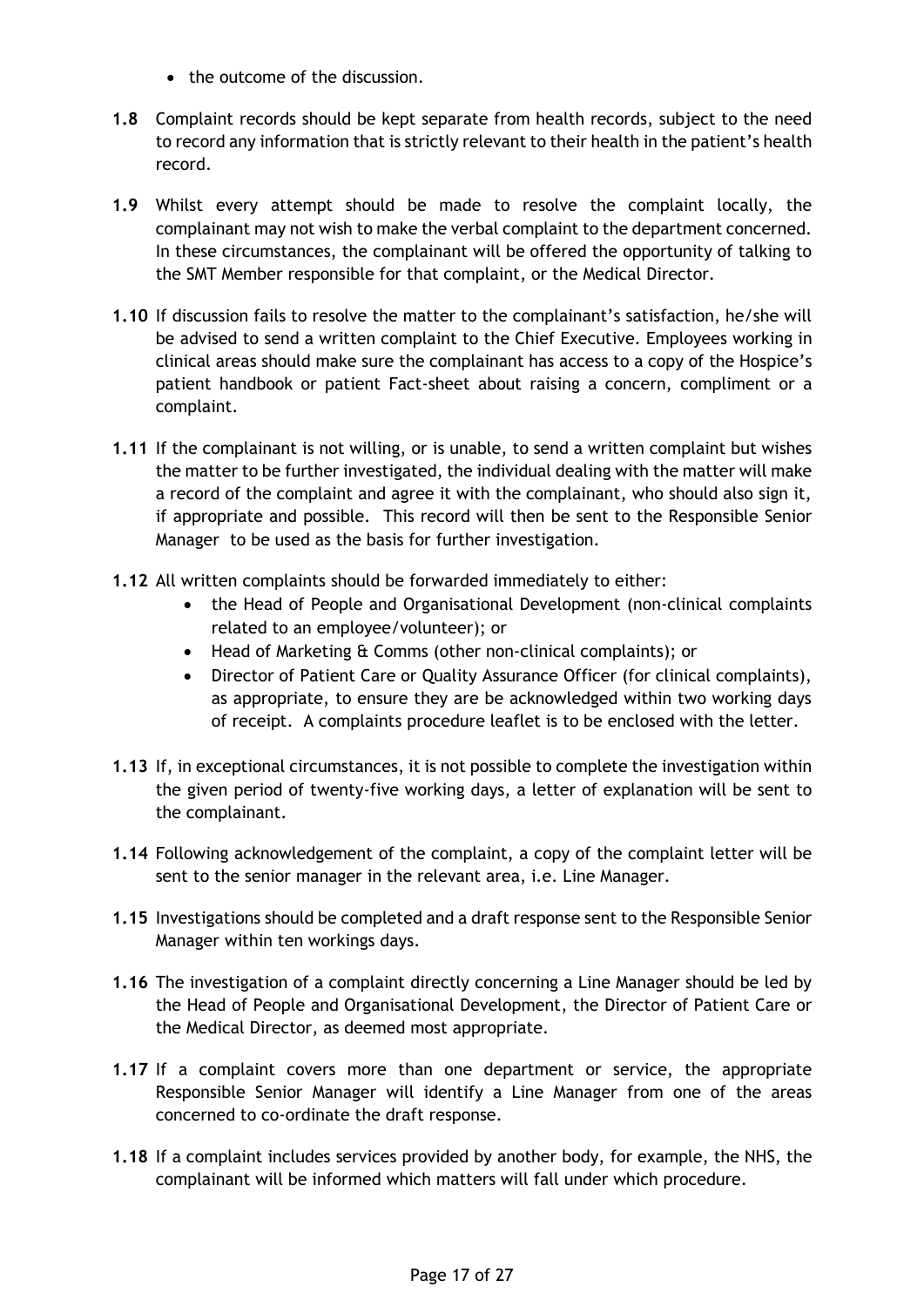- the outcome of the discussion.
- **1.8** Complaint records should be kept separate from health records, subject to the need to record any information that is strictly relevant to their health in the patient's health record.
- **1.9** Whilst every attempt should be made to resolve the complaint locally, the complainant may not wish to make the verbal complaint to the department concerned. In these circumstances, the complainant will be offered the opportunity of talking to the SMT Member responsible for that complaint, or the Medical Director.
- **1.10** If discussion fails to resolve the matter to the complainant's satisfaction, he/she will be advised to send a written complaint to the Chief Executive. Employees working in clinical areas should make sure the complainant has access to a copy of the Hospice's patient handbook or patient Fact-sheet about raising a concern, compliment or a complaint.
- **1.11** If the complainant is not willing, or is unable, to send a written complaint but wishes the matter to be further investigated, the individual dealing with the matter will make a record of the complaint and agree it with the complainant, who should also sign it, if appropriate and possible. This record will then be sent to the Responsible Senior Manager to be used as the basis for further investigation.
- **1.12** All written complaints should be forwarded immediately to either:
	- the Head of People and Organisational Development (non-clinical complaints related to an employee/volunteer); or
	- Head of Marketing & Comms (other non-clinical complaints); or
	- Director of Patient Care or Quality Assurance Officer (for clinical complaints), as appropriate, to ensure they are be acknowledged within two working days of receipt. A complaints procedure leaflet is to be enclosed with the letter.
- **1.13** If, in exceptional circumstances, it is not possible to complete the investigation within the given period of twenty-five working days, a letter of explanation will be sent to the complainant.
- **1.14** Following acknowledgement of the complaint, a copy of the complaint letter will be sent to the senior manager in the relevant area, i.e. Line Manager.
- **1.15** Investigations should be completed and a draft response sent to the Responsible Senior Manager within ten workings days.
- **1.16** The investigation of a complaint directly concerning a Line Manager should be led by the Head of People and Organisational Development, the Director of Patient Care or the Medical Director, as deemed most appropriate.
- **1.17** If a complaint covers more than one department or service, the appropriate Responsible Senior Manager will identify a Line Manager from one of the areas concerned to co-ordinate the draft response.
- **1.18** If a complaint includes services provided by another body, for example, the NHS, the complainant will be informed which matters will fall under which procedure.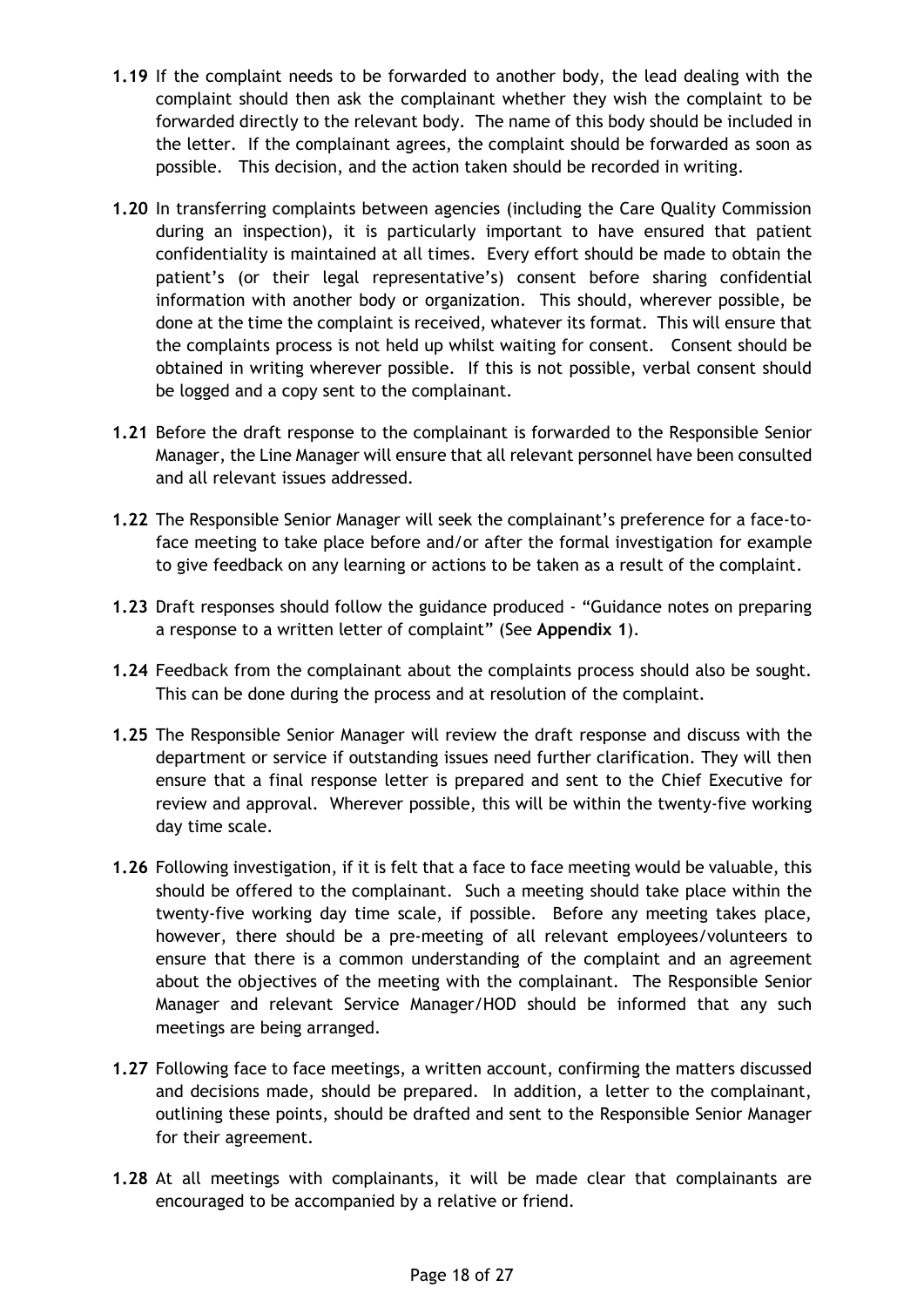- **1.19** If the complaint needs to be forwarded to another body, the lead dealing with the complaint should then ask the complainant whether they wish the complaint to be forwarded directly to the relevant body. The name of this body should be included in the letter. If the complainant agrees, the complaint should be forwarded as soon as possible. This decision, and the action taken should be recorded in writing.
- **1.20** In transferring complaints between agencies (including the Care Quality Commission during an inspection), it is particularly important to have ensured that patient confidentiality is maintained at all times. Every effort should be made to obtain the patient's (or their legal representative's) consent before sharing confidential information with another body or organization. This should, wherever possible, be done at the time the complaint is received, whatever its format. This will ensure that the complaints process is not held up whilst waiting for consent. Consent should be obtained in writing wherever possible. If this is not possible, verbal consent should be logged and a copy sent to the complainant.
- **1.21** Before the draft response to the complainant is forwarded to the Responsible Senior Manager, the Line Manager will ensure that all relevant personnel have been consulted and all relevant issues addressed.
- **1.22** The Responsible Senior Manager will seek the complainant's preference for a face-toface meeting to take place before and/or after the formal investigation for example to give feedback on any learning or actions to be taken as a result of the complaint.
- **1.23** Draft responses should follow the guidance produced "Guidance notes on preparing a response to a written letter of complaint" (See **Appendix 1**).
- **1.24** Feedback from the complainant about the complaints process should also be sought. This can be done during the process and at resolution of the complaint.
- **1.25** The Responsible Senior Manager will review the draft response and discuss with the department or service if outstanding issues need further clarification. They will then ensure that a final response letter is prepared and sent to the Chief Executive for review and approval. Wherever possible, this will be within the twenty-five working day time scale.
- **1.26** Following investigation, if it is felt that a face to face meeting would be valuable, this should be offered to the complainant. Such a meeting should take place within the twenty-five working day time scale, if possible. Before any meeting takes place, however, there should be a pre-meeting of all relevant employees/volunteers to ensure that there is a common understanding of the complaint and an agreement about the objectives of the meeting with the complainant. The Responsible Senior Manager and relevant Service Manager/HOD should be informed that any such meetings are being arranged.
- **1.27** Following face to face meetings, a written account, confirming the matters discussed and decisions made, should be prepared. In addition, a letter to the complainant, outlining these points, should be drafted and sent to the Responsible Senior Manager for their agreement.
- **1.28** At all meetings with complainants, it will be made clear that complainants are encouraged to be accompanied by a relative or friend.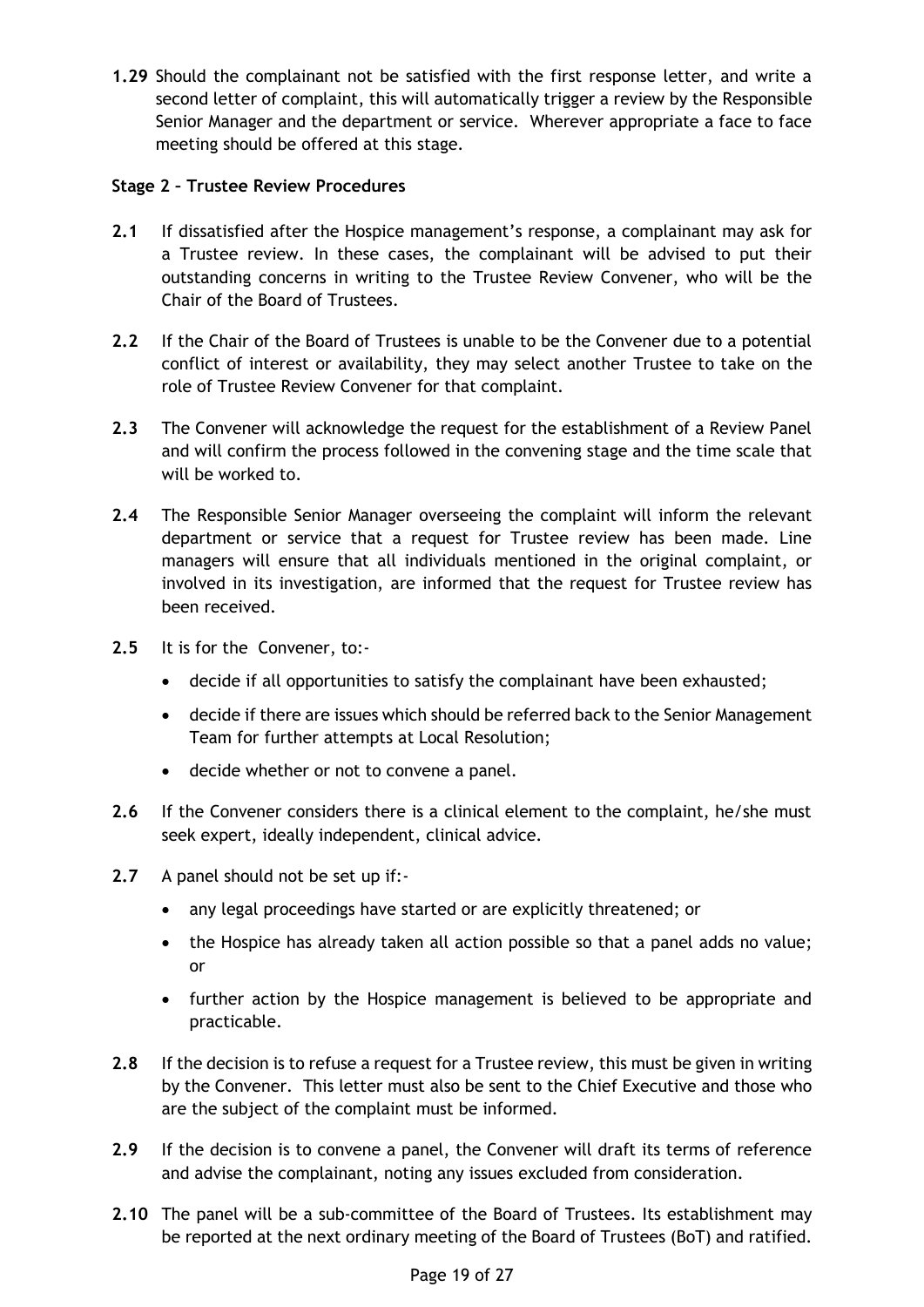**1.29** Should the complainant not be satisfied with the first response letter, and write a second letter of complaint, this will automatically trigger a review by the Responsible Senior Manager and the department or service. Wherever appropriate a face to face meeting should be offered at this stage.

## **Stage 2 – Trustee Review Procedures**

- **2.1** If dissatisfied after the Hospice management's response, a complainant may ask for a Trustee review. In these cases, the complainant will be advised to put their outstanding concerns in writing to the Trustee Review Convener, who will be the Chair of the Board of Trustees.
- **2.2** If the Chair of the Board of Trustees is unable to be the Convener due to a potential conflict of interest or availability, they may select another Trustee to take on the role of Trustee Review Convener for that complaint.
- **2.3** The Convener will acknowledge the request for the establishment of a Review Panel and will confirm the process followed in the convening stage and the time scale that will be worked to.
- **2.4** The Responsible Senior Manager overseeing the complaint will inform the relevant department or service that a request for Trustee review has been made. Line managers will ensure that all individuals mentioned in the original complaint, or involved in its investigation, are informed that the request for Trustee review has been received.
- **2.5** It is for the Convener, to:-
	- decide if all opportunities to satisfy the complainant have been exhausted;
	- decide if there are issues which should be referred back to the Senior Management Team for further attempts at Local Resolution;
	- decide whether or not to convene a panel.
- **2.6** If the Convener considers there is a clinical element to the complaint, he/she must seek expert, ideally independent, clinical advice.
- **2.7** A panel should not be set up if:-
	- any legal proceedings have started or are explicitly threatened; or
	- the Hospice has already taken all action possible so that a panel adds no value; or
	- further action by the Hospice management is believed to be appropriate and practicable.
- **2.8** If the decision is to refuse a request for a Trustee review, this must be given in writing by the Convener. This letter must also be sent to the Chief Executive and those who are the subject of the complaint must be informed.
- **2.9** If the decision is to convene a panel, the Convener will draft its terms of reference and advise the complainant, noting any issues excluded from consideration.
- **2.10** The panel will be a sub-committee of the Board of Trustees. Its establishment may be reported at the next ordinary meeting of the Board of Trustees (BoT) and ratified.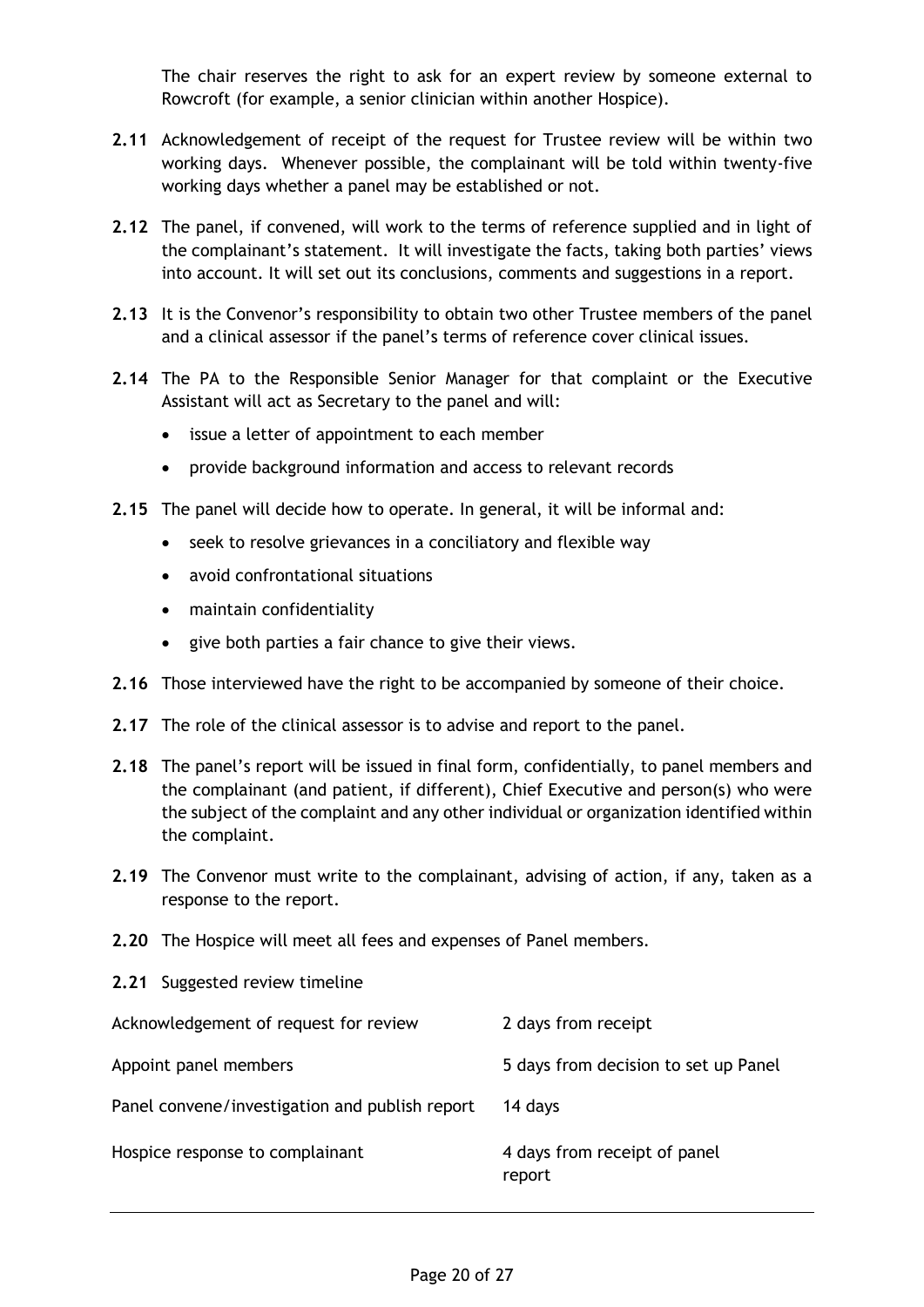The chair reserves the right to ask for an expert review by someone external to Rowcroft (for example, a senior clinician within another Hospice).

- **2.11** Acknowledgement of receipt of the request for Trustee review will be within two working days. Whenever possible, the complainant will be told within twenty-five working days whether a panel may be established or not.
- **2.12** The panel, if convened, will work to the terms of reference supplied and in light of the complainant's statement. It will investigate the facts, taking both parties' views into account. It will set out its conclusions, comments and suggestions in a report.
- **2.13** It is the Convenor's responsibility to obtain two other Trustee members of the panel and a clinical assessor if the panel's terms of reference cover clinical issues.
- **2.14** The PA to the Responsible Senior Manager for that complaint or the Executive Assistant will act as Secretary to the panel and will:
	- issue a letter of appointment to each member
	- provide background information and access to relevant records
- **2.15** The panel will decide how to operate. In general, it will be informal and:
	- seek to resolve grievances in a conciliatory and flexible way
	- avoid confrontational situations
	- maintain confidentiality
	- give both parties a fair chance to give their views.
- **2.16** Those interviewed have the right to be accompanied by someone of their choice.
- **2.17** The role of the clinical assessor is to advise and report to the panel.
- **2.18** The panel's report will be issued in final form, confidentially, to panel members and the complainant (and patient, if different), Chief Executive and person(s) who were the subject of the complaint and any other individual or organization identified within the complaint.
- **2.19** The Convenor must write to the complainant, advising of action, if any, taken as a response to the report.
- **2.20** The Hospice will meet all fees and expenses of Panel members.
- **2.21** Suggested review timeline

| Acknowledgement of request for review          | 2 days from receipt                    |
|------------------------------------------------|----------------------------------------|
| Appoint panel members                          | 5 days from decision to set up Panel   |
| Panel convene/investigation and publish report | 14 days                                |
| Hospice response to complainant                | 4 days from receipt of panel<br>report |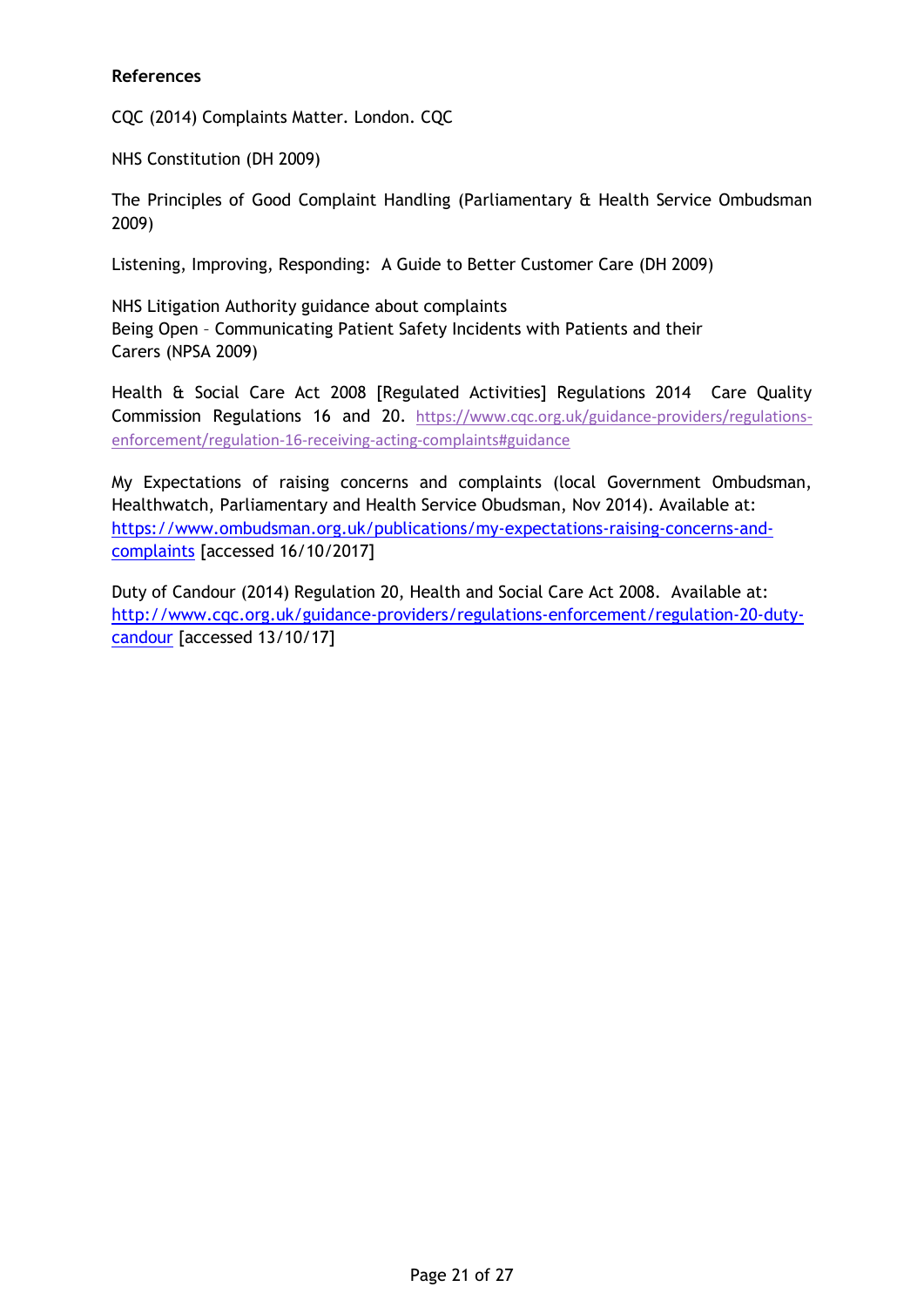### **References**

CQC (2014) Complaints Matter. London. CQC

NHS Constitution (DH 2009)

The Principles of Good Complaint Handling (Parliamentary & Health Service Ombudsman 2009)

Listening, Improving, Responding: A Guide to Better Customer Care (DH 2009)

NHS Litigation Authority guidance about complaints Being Open – Communicating Patient Safety Incidents with Patients and their Carers (NPSA 2009)

Health & Social Care Act 2008 [Regulated Activities] Regulations 2014 Care Quality Commission Regulations 16 and 20. [https://www.cqc.org.uk/guidance-providers/regulations](https://www.cqc.org.uk/guidance-providers/regulations-enforcement/regulation-16-receiving-acting-complaints#guidance)[enforcement/regulation-16-receiving-acting-complaints#guidance](https://www.cqc.org.uk/guidance-providers/regulations-enforcement/regulation-16-receiving-acting-complaints#guidance)

My Expectations of raising concerns and complaints (local Government Ombudsman, Healthwatch, Parliamentary and Health Service Obudsman, Nov 2014). Available at: [https://www.ombudsman.org.uk/publications/my-expectations-raising-concerns-and](https://www.ombudsman.org.uk/publications/my-expectations-raising-concerns-and-complaints)[complaints](https://www.ombudsman.org.uk/publications/my-expectations-raising-concerns-and-complaints) [accessed 16/10/2017]

Duty of Candour (2014) Regulation 20, Health and Social Care Act 2008. Available at: [http://www.cqc.org.uk/guidance-providers/regulations-enforcement/regulation-20-duty](http://www.cqc.org.uk/guidance-providers/regulations-enforcement/regulation-20-duty-candour)[candour](http://www.cqc.org.uk/guidance-providers/regulations-enforcement/regulation-20-duty-candour) [accessed 13/10/17]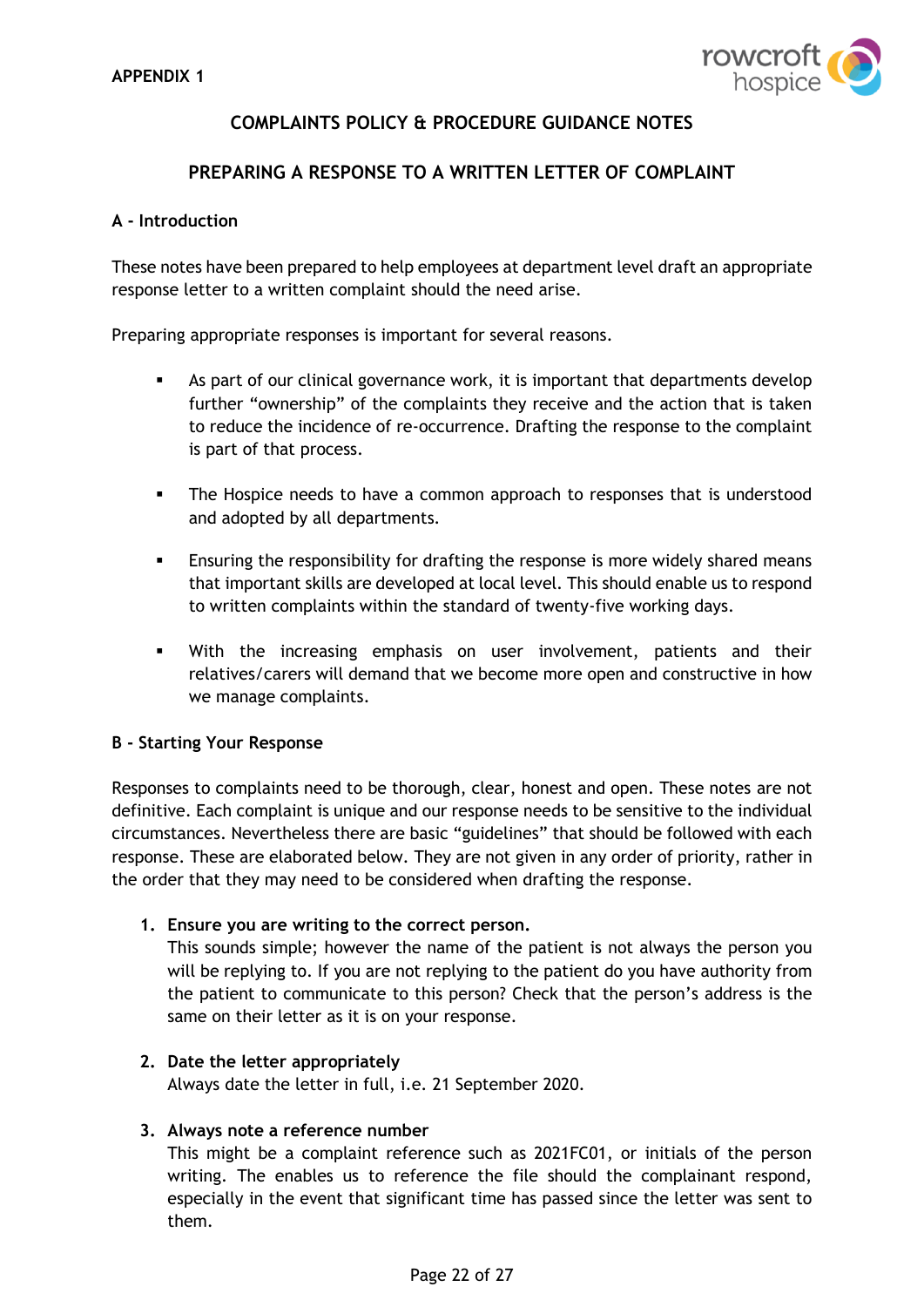

# **COMPLAINTS POLICY & PROCEDURE GUIDANCE NOTES**

### **PREPARING A RESPONSE TO A WRITTEN LETTER OF COMPLAINT**

#### **A - Introduction**

These notes have been prepared to help employees at department level draft an appropriate response letter to a written complaint should the need arise.

Preparing appropriate responses is important for several reasons.

- As part of our clinical governance work, it is important that departments develop further "ownership" of the complaints they receive and the action that is taken to reduce the incidence of re-occurrence. Drafting the response to the complaint is part of that process.
- The Hospice needs to have a common approach to responses that is understood and adopted by all departments.
- **E** Ensuring the responsibility for drafting the response is more widely shared means that important skills are developed at local level. This should enable us to respond to written complaints within the standard of twenty-five working days.
- With the increasing emphasis on user involvement, patients and their relatives/carers will demand that we become more open and constructive in how we manage complaints.

#### **B - Starting Your Response**

Responses to complaints need to be thorough, clear, honest and open. These notes are not definitive. Each complaint is unique and our response needs to be sensitive to the individual circumstances. Nevertheless there are basic "guidelines" that should be followed with each response. These are elaborated below. They are not given in any order of priority, rather in the order that they may need to be considered when drafting the response.

#### **1. Ensure you are writing to the correct person.**

This sounds simple; however the name of the patient is not always the person you will be replying to. If you are not replying to the patient do you have authority from the patient to communicate to this person? Check that the person's address is the same on their letter as it is on your response.

#### **2. Date the letter appropriately**

Always date the letter in full, i.e. 21 September 2020.

#### **3. Always note a reference number**

This might be a complaint reference such as 2021FC01, or initials of the person writing. The enables us to reference the file should the complainant respond, especially in the event that significant time has passed since the letter was sent to them.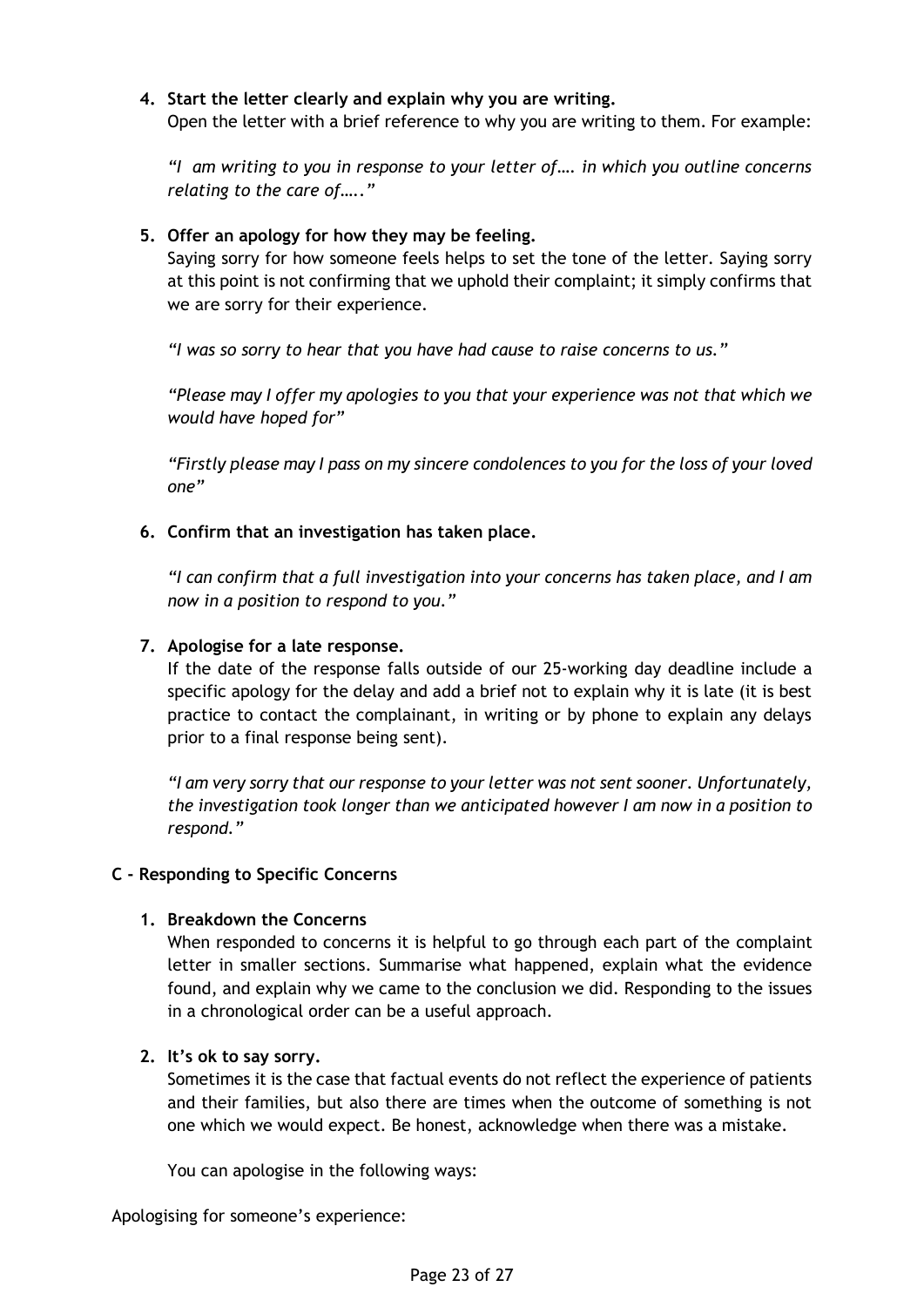## **4. Start the letter clearly and explain why you are writing.**

Open the letter with a brief reference to why you are writing to them. For example:

*"I am writing to you in response to your letter of…. in which you outline concerns relating to the care of….."*

### **5. Offer an apology for how they may be feeling.**

Saying sorry for how someone feels helps to set the tone of the letter. Saying sorry at this point is not confirming that we uphold their complaint; it simply confirms that we are sorry for their experience.

*"I was so sorry to hear that you have had cause to raise concerns to us."*

*"Please may I offer my apologies to you that your experience was not that which we would have hoped for"*

*"Firstly please may I pass on my sincere condolences to you for the loss of your loved one"*

### **6. Confirm that an investigation has taken place.**

*"I can confirm that a full investigation into your concerns has taken place, and I am now in a position to respond to you."*

### **7. Apologise for a late response.**

If the date of the response falls outside of our 25-working day deadline include a specific apology for the delay and add a brief not to explain why it is late (it is best practice to contact the complainant, in writing or by phone to explain any delays prior to a final response being sent).

*"I am very sorry that our response to your letter was not sent sooner. Unfortunately, the investigation took longer than we anticipated however I am now in a position to respond."*

### **C - Responding to Specific Concerns**

#### **1. Breakdown the Concerns**

When responded to concerns it is helpful to go through each part of the complaint letter in smaller sections. Summarise what happened, explain what the evidence found, and explain why we came to the conclusion we did. Responding to the issues in a chronological order can be a useful approach.

#### **2. It's ok to say sorry.**

Sometimes it is the case that factual events do not reflect the experience of patients and their families, but also there are times when the outcome of something is not one which we would expect. Be honest, acknowledge when there was a mistake.

You can apologise in the following ways:

Apologising for someone's experience: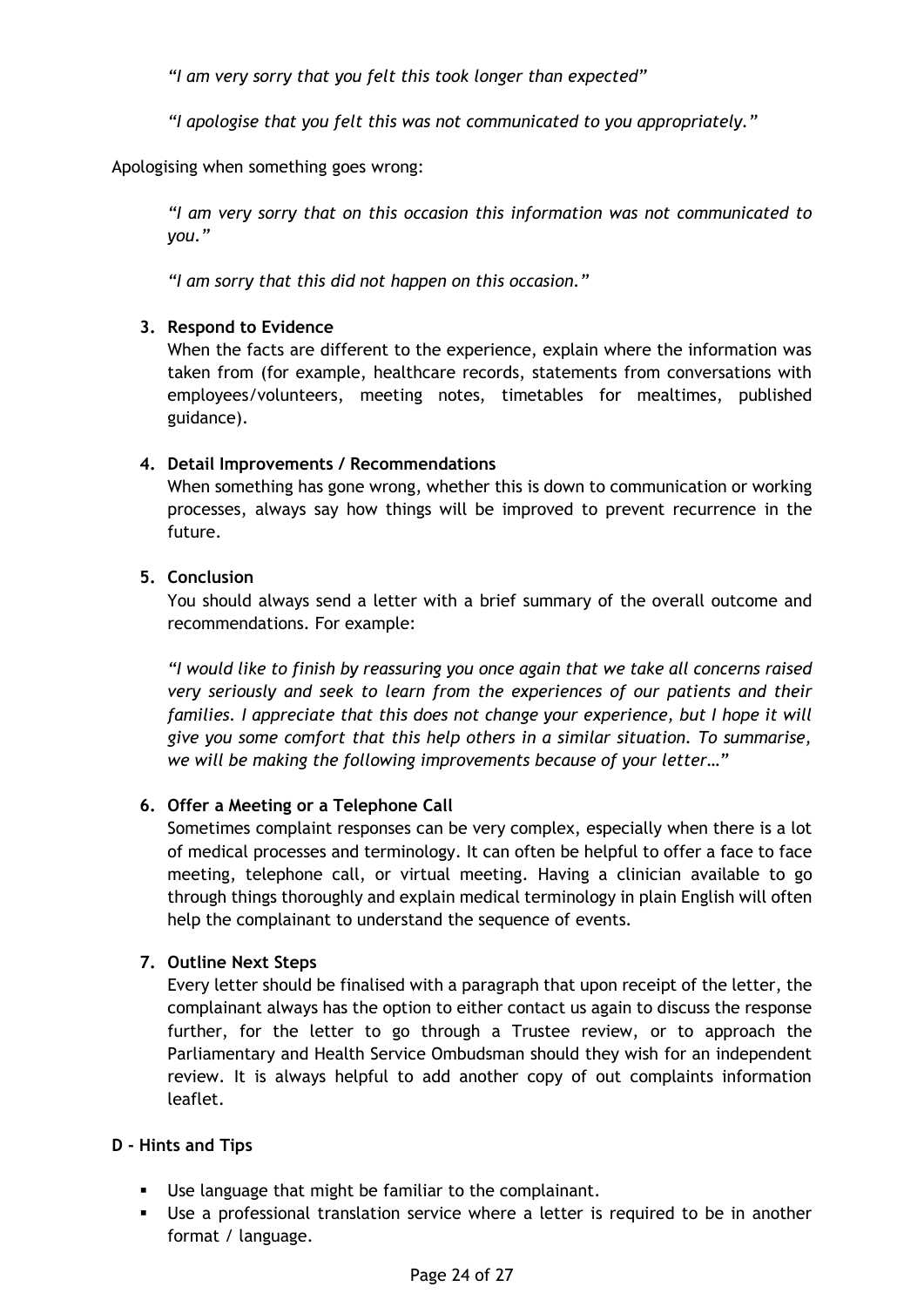*"I am very sorry that you felt this took longer than expected"*

*"I apologise that you felt this was not communicated to you appropriately."*

Apologising when something goes wrong:

*"I am very sorry that on this occasion this information was not communicated to you."*

*"I am sorry that this did not happen on this occasion."*

### **3. Respond to Evidence**

When the facts are different to the experience, explain where the information was taken from (for example, healthcare records, statements from conversations with employees/volunteers, meeting notes, timetables for mealtimes, published guidance).

### **4. Detail Improvements / Recommendations**

When something has gone wrong, whether this is down to communication or working processes, always say how things will be improved to prevent recurrence in the future.

### **5. Conclusion**

You should always send a letter with a brief summary of the overall outcome and recommendations. For example:

*"I would like to finish by reassuring you once again that we take all concerns raised very seriously and seek to learn from the experiences of our patients and their families. I appreciate that this does not change your experience, but I hope it will give you some comfort that this help others in a similar situation. To summarise, we will be making the following improvements because of your letter…"*

## **6. Offer a Meeting or a Telephone Call**

Sometimes complaint responses can be very complex, especially when there is a lot of medical processes and terminology. It can often be helpful to offer a face to face meeting, telephone call, or virtual meeting. Having a clinician available to go through things thoroughly and explain medical terminology in plain English will often help the complainant to understand the sequence of events.

## **7. Outline Next Steps**

Every letter should be finalised with a paragraph that upon receipt of the letter, the complainant always has the option to either contact us again to discuss the response further, for the letter to go through a Trustee review, or to approach the Parliamentary and Health Service Ombudsman should they wish for an independent review. It is always helpful to add another copy of out complaints information leaflet.

## **D - Hints and Tips**

- Use language that might be familiar to the complainant.
- **EXE** Use a professional translation service where a letter is required to be in another format / language.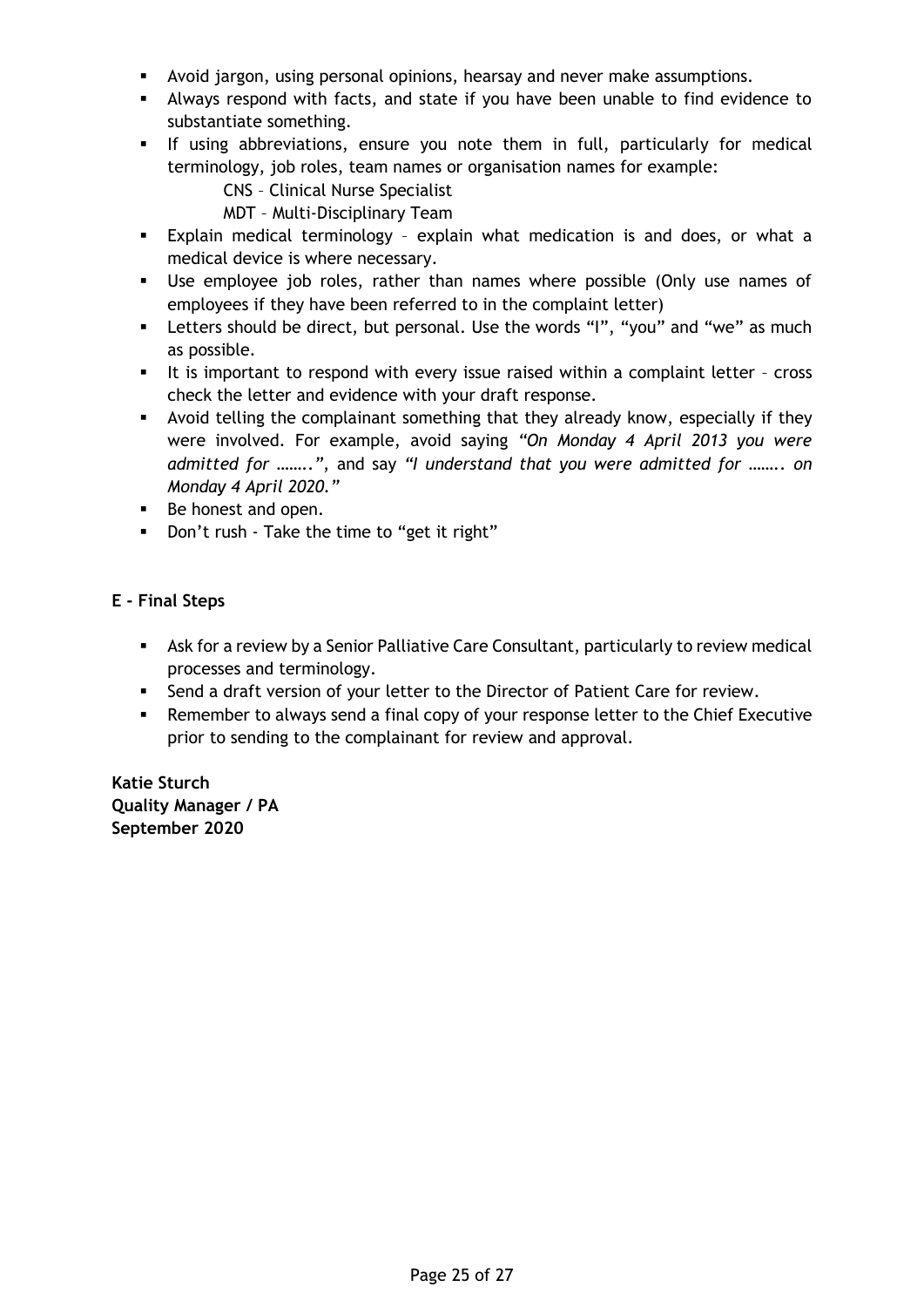- Avoid jargon, using personal opinions, hearsay and never make assumptions.
- Always respond with facts, and state if you have been unable to find evidence to substantiate something.
- If using abbreviations, ensure you note them in full, particularly for medical terminology, job roles, team names or organisation names for example:
	- CNS Clinical Nurse Specialist
	- MDT Multi-Disciplinary Team
- Explain medical terminology explain what medication is and does, or what a medical device is where necessary.
- Use employee job roles, rather than names where possible (Only use names of employees if they have been referred to in the complaint letter)
- **EXT** Letters should be direct, but personal. Use the words "I", "you" and "we" as much as possible.
- It is important to respond with every issue raised within a complaint letter cross check the letter and evidence with your draft response.
- **EXED** Avoid telling the complainant something that they already know, especially if they were involved. For example, avoid saying *"On Monday 4 April 2013 you were admitted for …….."*, and say *"I understand that you were admitted for …….. on Monday 4 April 2020."*
- Be honest and open.
- Don't rush Take the time to "get it right"

### **E - Final Steps**

- Ask for a review by a Senior Palliative Care Consultant, particularly to review medical processes and terminology.
- Send a draft version of your letter to the Director of Patient Care for review.
- **•** Remember to always send a final copy of your response letter to the Chief Executive prior to sending to the complainant for review and approval.

**Katie Sturch Quality Manager / PA September 2020**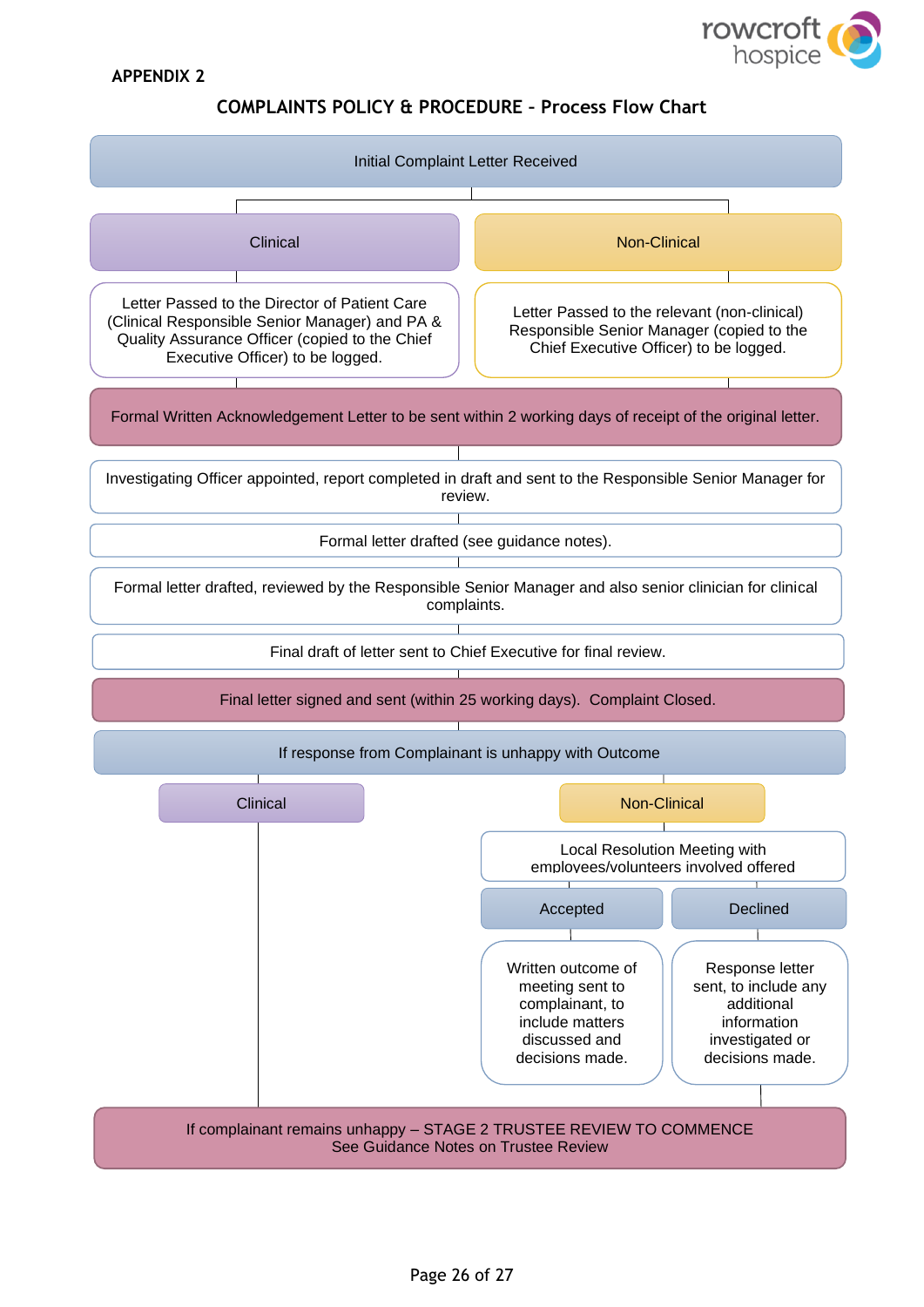

#### **APPENDIX 2**

### **COMPLAINTS POLICY & PROCEDURE – Process Flow Chart**